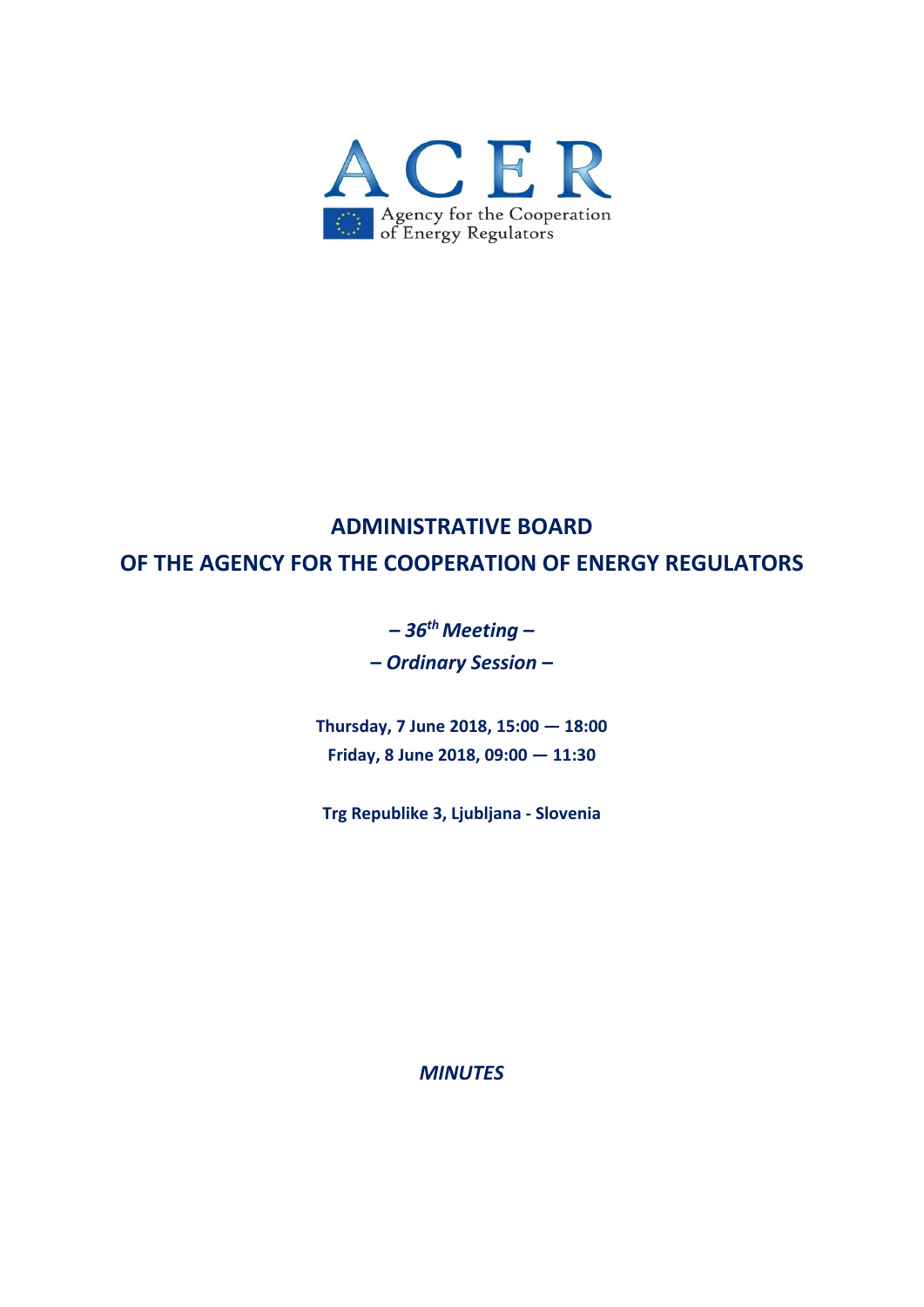

# **ADMINISTRATIVE BOARD OF THE AGENCY FOR THE COOPERATION OF ENERGY REGULATORS**

**–** *36thMeeting* **– –** *Ordinary Session* **–**

**Thursday, 7 June 2018, 15:00 — 18:00 Friday, 8 June 2018, 09:00 — 11:30**

**Trg Republike 3, Ljubljana ‐ Slovenia**

*MINUTES*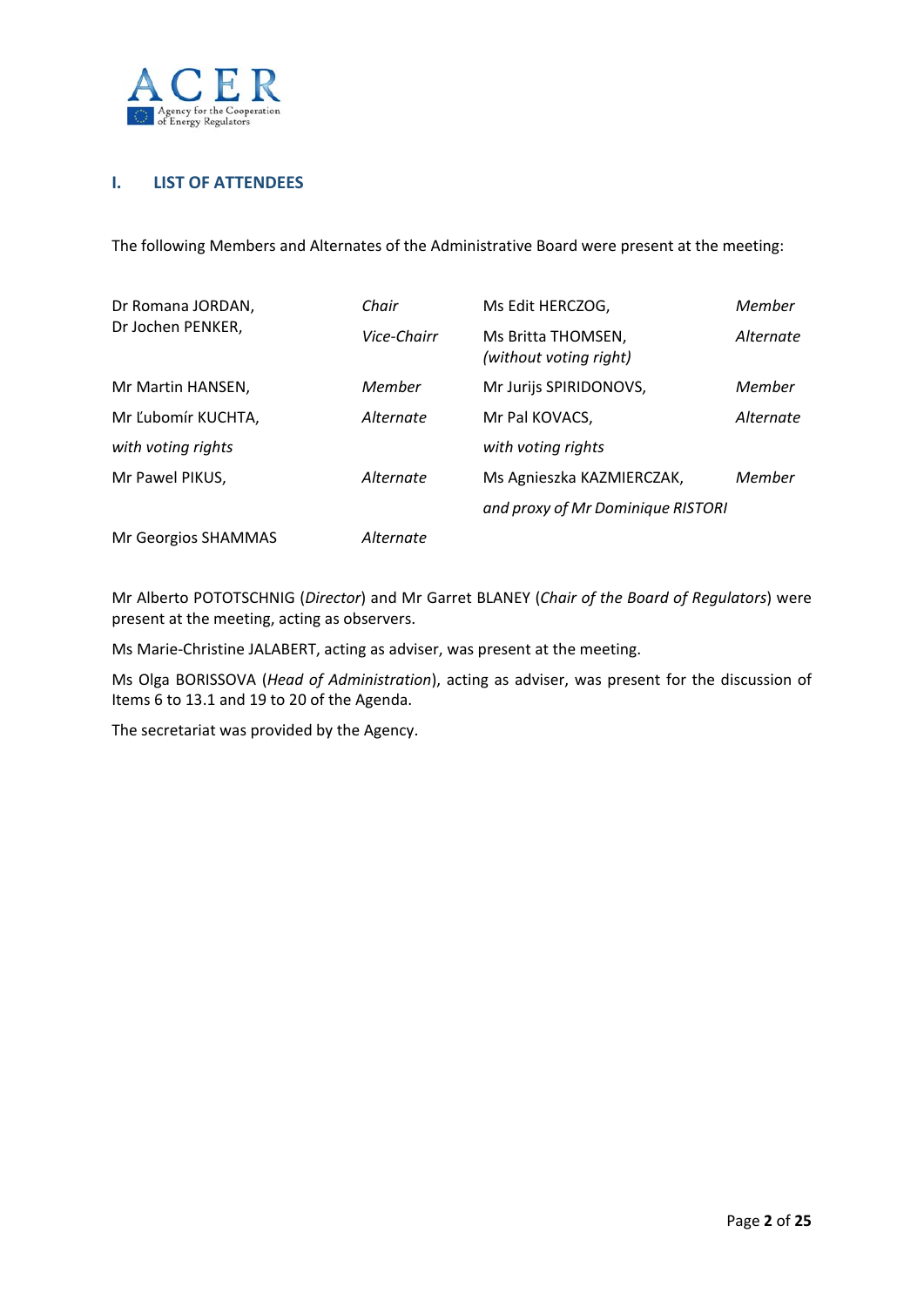

# **I. LIST OF ATTENDEES**

The following Members and Alternates of the Administrative Board were present at the meeting:

| Dr Romana JORDAN,   | Chair       | Ms Edit HERCZOG,                             | Member    |
|---------------------|-------------|----------------------------------------------|-----------|
| Dr Jochen PENKER,   | Vice-Chairr | Ms Britta THOMSEN,<br>(without voting right) | Alternate |
| Mr Martin HANSEN,   | Member      | Mr Jurijs SPIRIDONOVS,                       | Member    |
| Mr Ľubomír KUCHTA,  | Alternate   | Mr Pal KOVACS,                               | Alternate |
| with voting rights  |             | with voting rights                           |           |
| Mr Pawel PIKUS,     | Alternate   | Ms Agnieszka KAZMIERCZAK,                    | Member    |
|                     |             | and proxy of Mr Dominique RISTORI            |           |
| Mr Georgios SHAMMAS | Alternate   |                                              |           |

Mr Alberto POTOTSCHNIG (*Director*) and Mr Garret BLANEY (*Chair of the Board of Regulators*) were present at the meeting, acting as observers.

Ms Marie‐Christine JALABERT, acting as adviser, was present at the meeting.

Ms Olga BORISSOVA (*Head of Administration*), acting as adviser, was present for the discussion of Items 6 to 13.1 and 19 to 20 of the Agenda.

The secretariat was provided by the Agency.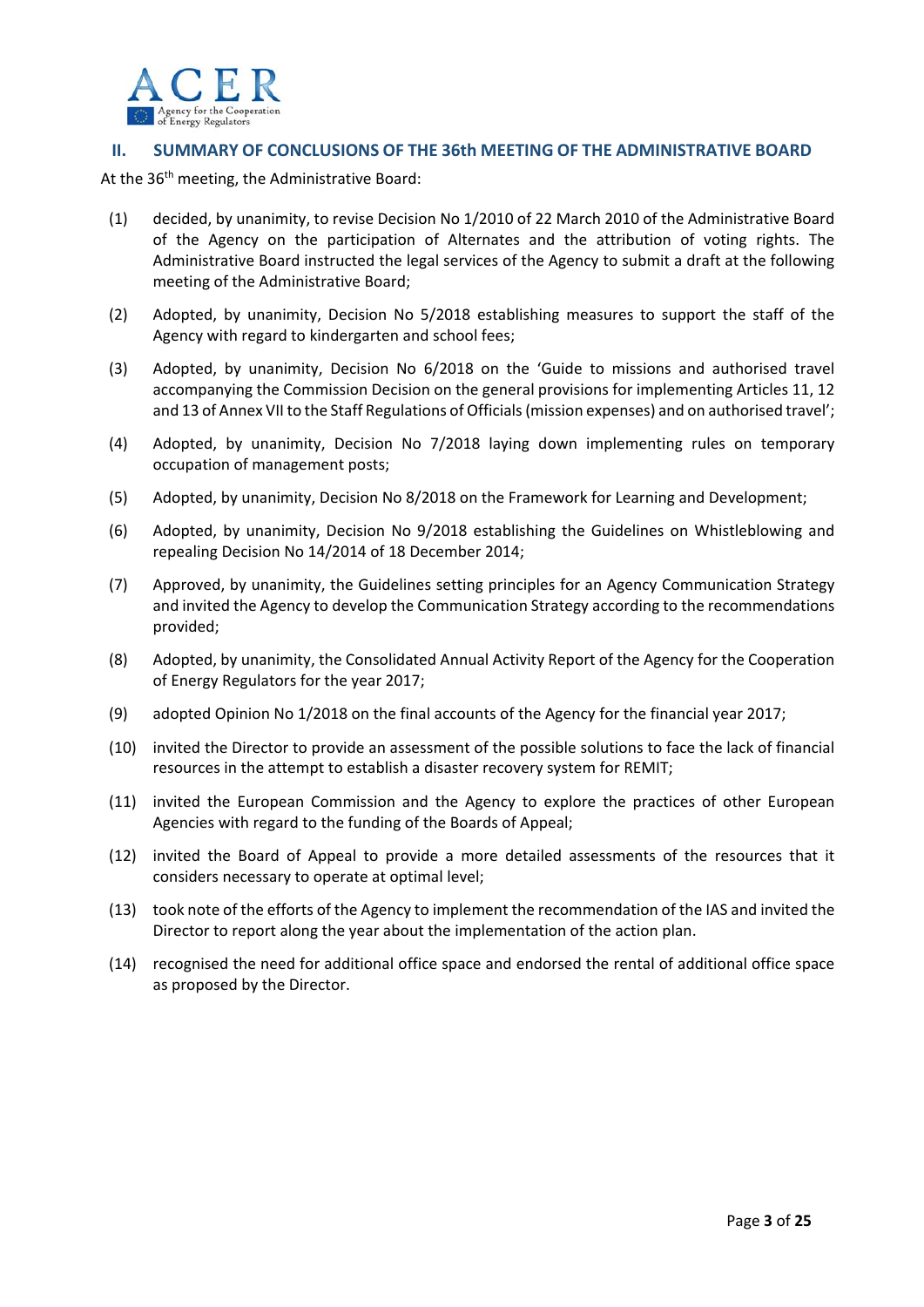

## **II. SUMMARY OF CONCLUSIONS OF THE 36th MEETING OF THE ADMINISTRATIVE BOARD**

At the 36<sup>th</sup> meeting, the Administrative Board:

- (1) decided, by unanimity, to revise Decision No 1/2010 of 22 March 2010 of the Administrative Board of the Agency on the participation of Alternates and the attribution of voting rights. The Administrative Board instructed the legal services of the Agency to submit a draft at the following meeting of the Administrative Board;
- (2) Adopted, by unanimity, Decision No 5/2018 establishing measures to support the staff of the Agency with regard to kindergarten and school fees;
- (3) Adopted, by unanimity, Decision No 6/2018 on the 'Guide to missions and authorised travel accompanying the Commission Decision on the general provisions for implementing Articles 11, 12 and 13 of Annex VII to the Staff Regulations of Officials(mission expenses) and on authorised travel';
- (4) Adopted, by unanimity, Decision No 7/2018 laying down implementing rules on temporary occupation of management posts;
- (5) Adopted, by unanimity, Decision No 8/2018 on the Framework for Learning and Development;
- (6) Adopted, by unanimity, Decision No 9/2018 establishing the Guidelines on Whistleblowing and repealing Decision No 14/2014 of 18 December 2014;
- (7) Approved, by unanimity, the Guidelines setting principles for an Agency Communication Strategy and invited the Agency to develop the Communication Strategy according to the recommendations provided;
- (8) Adopted, by unanimity, the Consolidated Annual Activity Report of the Agency for the Cooperation of Energy Regulators for the year 2017;
- (9) adopted Opinion No 1/2018 on the final accounts of the Agency for the financial year 2017;
- (10) invited the Director to provide an assessment of the possible solutions to face the lack of financial resources in the attempt to establish a disaster recovery system for REMIT;
- (11) invited the European Commission and the Agency to explore the practices of other European Agencies with regard to the funding of the Boards of Appeal;
- (12) invited the Board of Appeal to provide a more detailed assessments of the resources that it considers necessary to operate at optimal level;
- (13) took note of the efforts of the Agency to implement the recommendation of the IAS and invited the Director to report along the year about the implementation of the action plan.
- (14) recognised the need for additional office space and endorsed the rental of additional office space as proposed by the Director.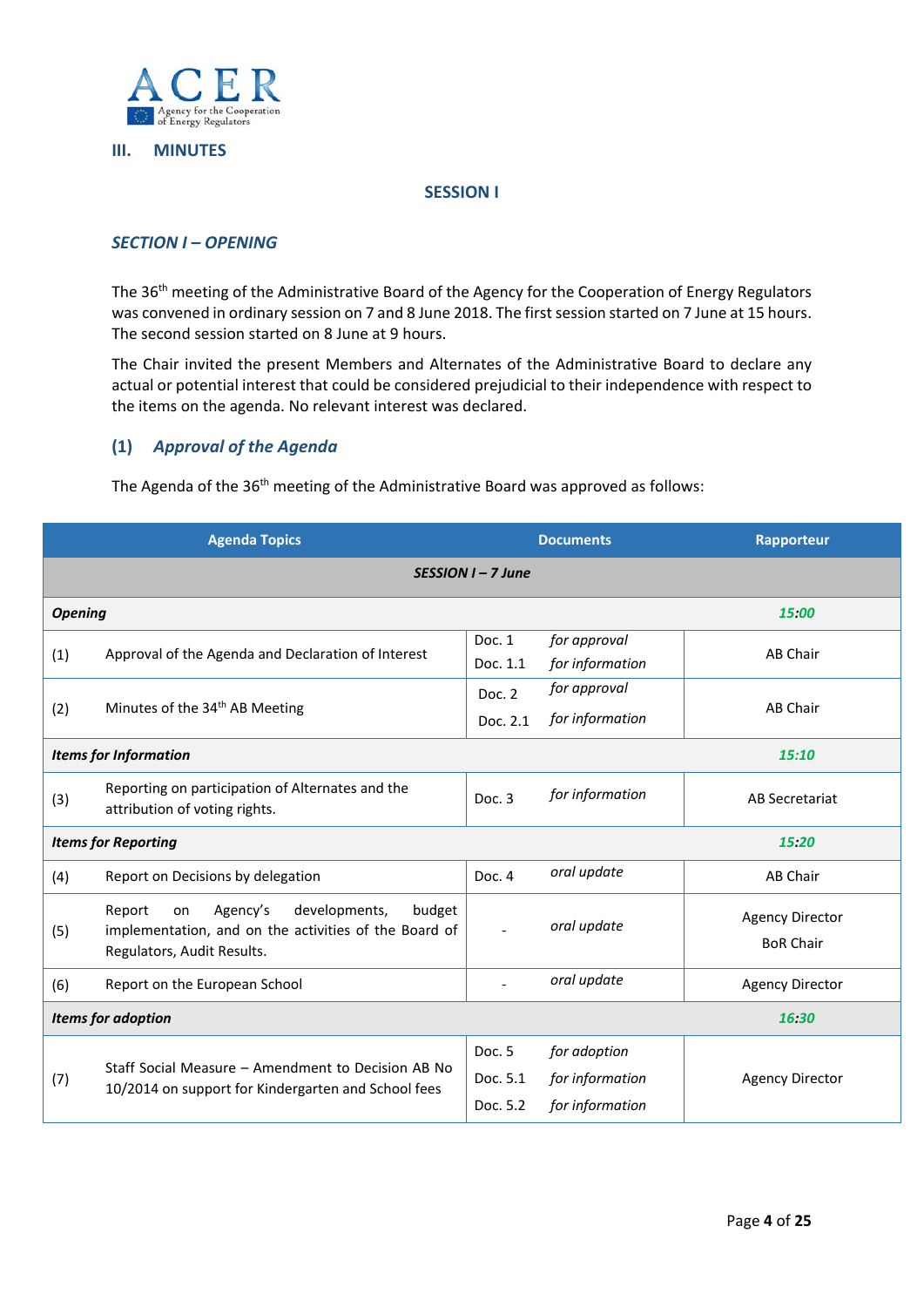

#### **III. MINUTES**

#### **SESSION I**

## *SECTION I – OPENING*

The 36th meeting of the Administrative Board of the Agency for the Cooperation of Energy Regulators was convened in ordinary session on 7 and 8 June 2018. The first session started on 7 June at 15 hours. The second session started on 8 June at 9 hours.

The Chair invited the present Members and Alternates of the Administrative Board to declare any actual or potential interest that could be considered prejudicial to their independence with respect to the items on the agenda. No relevant interest was declared.

# **(1)** *Approval of the Agenda*

The Agenda of the 36<sup>th</sup> meeting of the Administrative Board was approved as follows:

|                                    | <b>Agenda Topics</b>                                                                                                                       |                                | <b>Documents</b>                                   | <b>Rapporteur</b>                          |
|------------------------------------|--------------------------------------------------------------------------------------------------------------------------------------------|--------------------------------|----------------------------------------------------|--------------------------------------------|
| $SESSION I - 7 June$               |                                                                                                                                            |                                |                                                    |                                            |
| <b>Opening</b>                     |                                                                                                                                            |                                |                                                    | 15:00                                      |
| (1)                                | Approval of the Agenda and Declaration of Interest                                                                                         | Doc. 1<br>Doc. 1.1             | for approval<br>for information                    | <b>AB Chair</b>                            |
| (2)                                | Minutes of the 34 <sup>th</sup> AB Meeting                                                                                                 | Doc. 2<br>Doc. 2.1             | for approval<br>for information                    | <b>AB Chair</b>                            |
|                                    | <b>Items for Information</b>                                                                                                               |                                |                                                    | 15:10                                      |
| (3)                                | Reporting on participation of Alternates and the<br>attribution of voting rights.                                                          | Doc. 3                         | for information                                    | AB Secretariat                             |
|                                    | <b>Items for Reporting</b>                                                                                                                 |                                |                                                    | 15:20                                      |
| (4)                                | Report on Decisions by delegation                                                                                                          | Doc. 4                         | oral update                                        | <b>AB Chair</b>                            |
| (5)                                | Agency's<br>developments,<br>budget<br>Report<br>on<br>implementation, and on the activities of the Board of<br>Regulators, Audit Results. |                                | oral update                                        | <b>Agency Director</b><br><b>BoR Chair</b> |
| (6)                                | Report on the European School                                                                                                              |                                | oral update                                        | <b>Agency Director</b>                     |
| <b>Items for adoption</b><br>16:30 |                                                                                                                                            |                                |                                                    |                                            |
| (7)                                | Staff Social Measure – Amendment to Decision AB No<br>10/2014 on support for Kindergarten and School fees                                  | Doc. 5<br>Doc. 5.1<br>Doc. 5.2 | for adoption<br>for information<br>for information | <b>Agency Director</b>                     |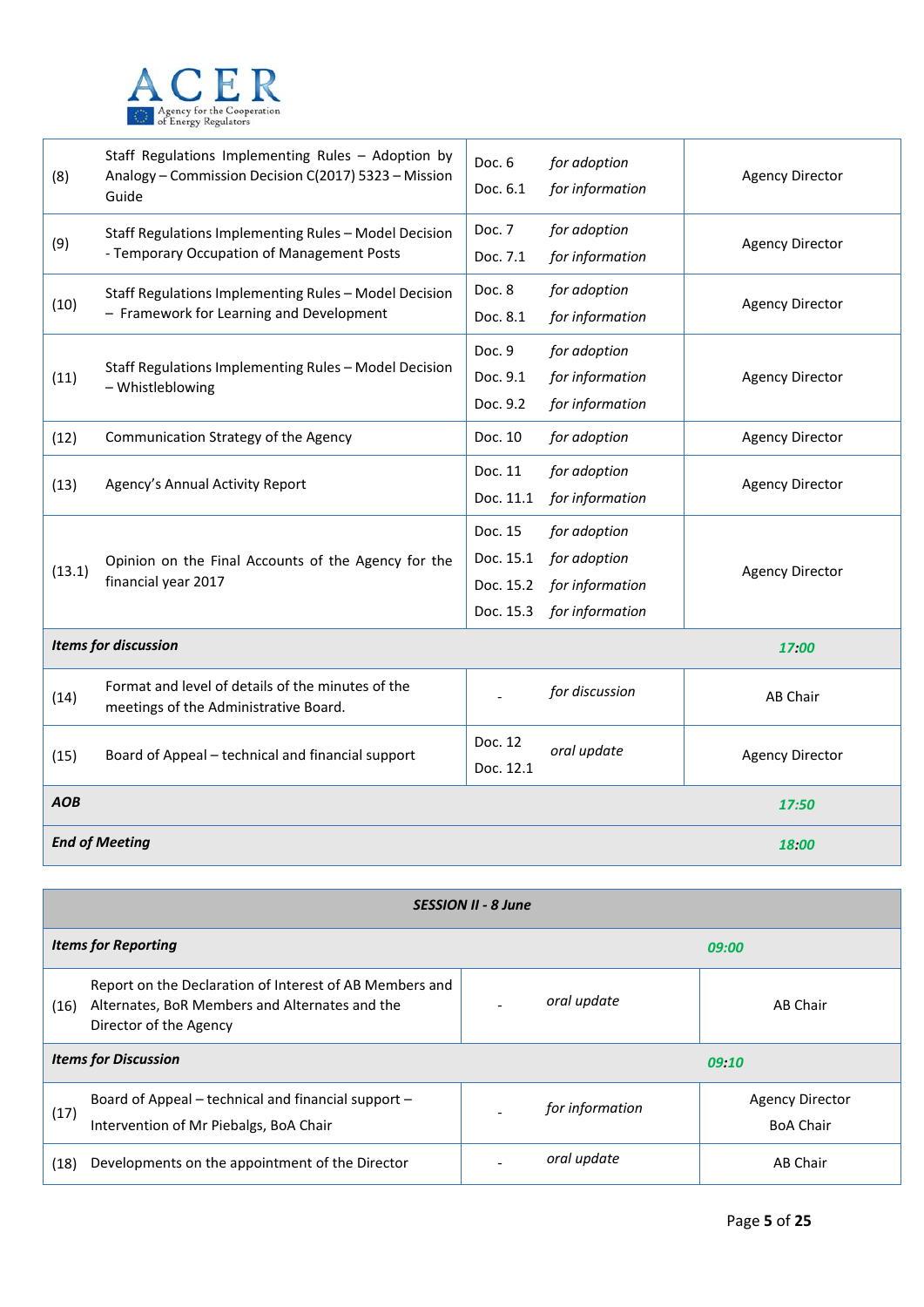

| (8)        | Staff Regulations Implementing Rules - Adoption by<br>Analogy - Commission Decision C(2017) 5323 - Mission<br>Guide | Doc. 6<br>Doc. 6.1                             | for adoption<br>for information                                    | <b>Agency Director</b> |
|------------|---------------------------------------------------------------------------------------------------------------------|------------------------------------------------|--------------------------------------------------------------------|------------------------|
| (9)        | Staff Regulations Implementing Rules - Model Decision<br>- Temporary Occupation of Management Posts                 | Doc. 7<br>Doc. 7.1                             | for adoption<br>for information                                    | <b>Agency Director</b> |
| (10)       | Staff Regulations Implementing Rules - Model Decision<br>- Framework for Learning and Development                   | Doc. 8<br>Doc. 8.1                             | for adoption<br>for information                                    | <b>Agency Director</b> |
| (11)       | Staff Regulations Implementing Rules - Model Decision<br>- Whistleblowing                                           | Doc. 9<br>Doc. 9.1<br>Doc. 9.2                 | for adoption<br>for information<br>for information                 | <b>Agency Director</b> |
| (12)       | Communication Strategy of the Agency                                                                                | Doc. 10                                        | for adoption                                                       | <b>Agency Director</b> |
| (13)       | Agency's Annual Activity Report                                                                                     | Doc. 11<br>Doc. 11.1                           | for adoption<br>for information                                    | <b>Agency Director</b> |
| (13.1)     | Opinion on the Final Accounts of the Agency for the<br>financial year 2017                                          | Doc. 15<br>Doc. 15.1<br>Doc. 15.2<br>Doc. 15.3 | for adoption<br>for adoption<br>for information<br>for information | <b>Agency Director</b> |
|            | <b>Items for discussion</b>                                                                                         |                                                |                                                                    | 17:00                  |
| (14)       | Format and level of details of the minutes of the<br>meetings of the Administrative Board.                          |                                                | for discussion                                                     | AB Chair               |
| (15)       | Board of Appeal - technical and financial support                                                                   | Doc. 12<br>Doc. 12.1                           | oral update                                                        | <b>Agency Director</b> |
| <b>AOB</b> |                                                                                                                     |                                                |                                                                    | 17:50                  |
|            | <b>End of Meeting</b>                                                                                               |                                                |                                                                    | 18:00                  |

| <b>SESSION II - 8 June</b>           |                                                                                                                                     |  |                 |                                            |
|--------------------------------------|-------------------------------------------------------------------------------------------------------------------------------------|--|-----------------|--------------------------------------------|
|                                      | <b>Items for Reporting</b>                                                                                                          |  |                 | 09:00                                      |
| (16)                                 | Report on the Declaration of Interest of AB Members and<br>Alternates, BoR Members and Alternates and the<br>Director of the Agency |  | oral update     | AB Chair                                   |
| <b>Items for Discussion</b><br>09:10 |                                                                                                                                     |  |                 |                                            |
| (17)                                 | Board of Appeal – technical and financial support –<br>Intervention of Mr Piebalgs, BoA Chair                                       |  | for information | <b>Agency Director</b><br><b>BoA Chair</b> |
| (18)                                 | Developments on the appointment of the Director                                                                                     |  | oral update     | AB Chair                                   |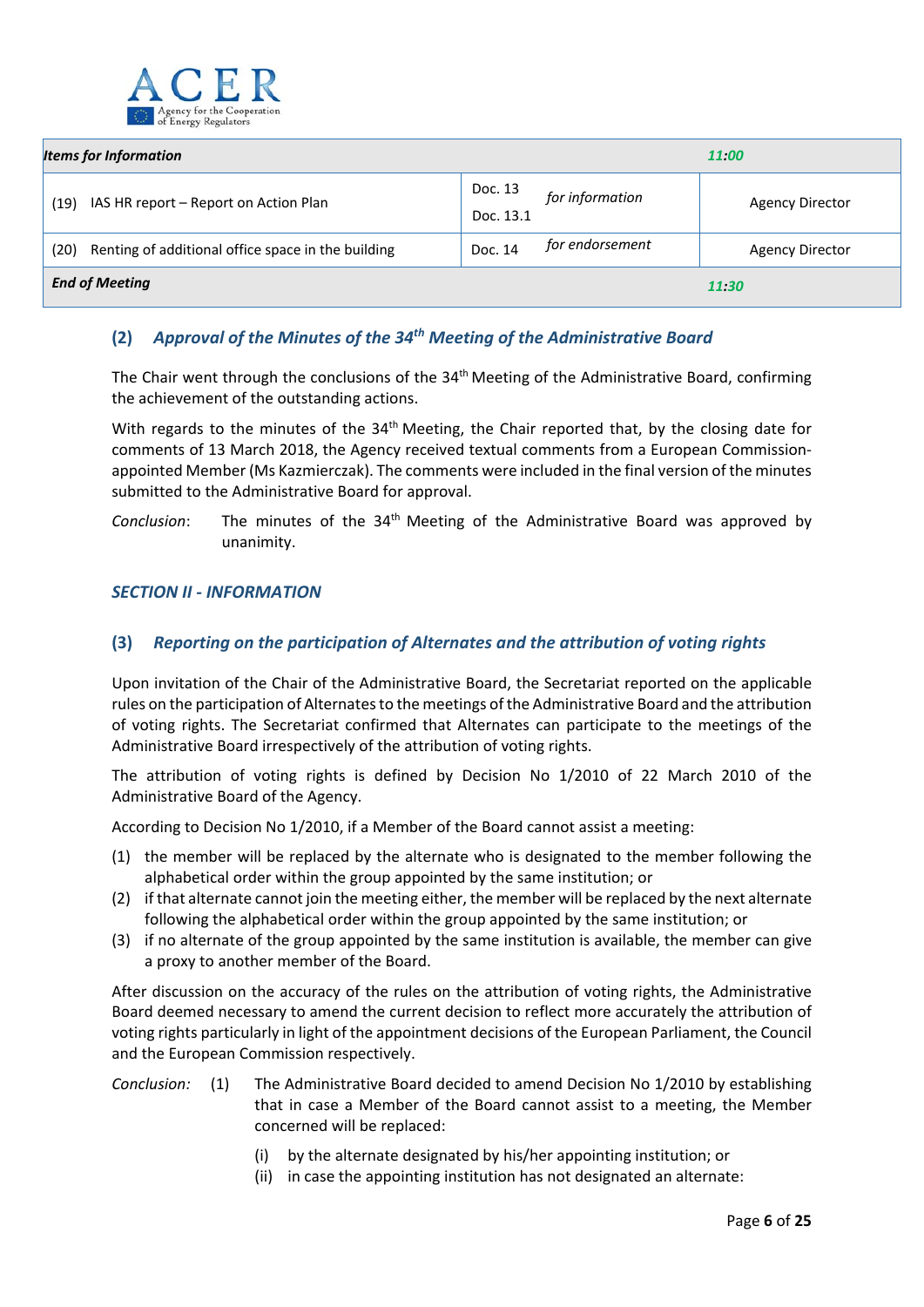

| <b>Items for Information</b>                               |                                         | 11:00                  |  |
|------------------------------------------------------------|-----------------------------------------|------------------------|--|
| IAS HR report – Report on Action Plan<br>(19)              | Doc. 13<br>for information<br>Doc. 13.1 | <b>Agency Director</b> |  |
| Renting of additional office space in the building<br>(20) | for endorsement<br>Doc. 14              | <b>Agency Director</b> |  |
| <b>End of Meeting</b><br>11:30                             |                                         |                        |  |

# **(2)** *Approval of the Minutes of the 34th Meeting of the Administrative Board*

The Chair went through the conclusions of the 34<sup>th</sup> Meeting of the Administrative Board, confirming the achievement of the outstanding actions.

With regards to the minutes of the 34<sup>th</sup> Meeting, the Chair reported that, by the closing date for comments of 13 March 2018, the Agency received textual comments from a European Commission‐ appointed Member (Ms Kazmierczak). The comments were included in the final version of the minutes submitted to the Administrative Board for approval.

*Conclusion*: The minutes of the 34th Meeting of the Administrative Board was approved by unanimity.

## *SECTION II ‐ INFORMATION*

# **(3)** *Reporting on the participation of Alternates and the attribution of voting rights*

Upon invitation of the Chair of the Administrative Board, the Secretariat reported on the applicable rules on the participation of Alternates to the meetings of the Administrative Board and the attribution of voting rights. The Secretariat confirmed that Alternates can participate to the meetings of the Administrative Board irrespectively of the attribution of voting rights.

The attribution of voting rights is defined by Decision No 1/2010 of 22 March 2010 of the Administrative Board of the Agency.

According to Decision No 1/2010, if a Member of the Board cannot assist a meeting:

- (1) the member will be replaced by the alternate who is designated to the member following the alphabetical order within the group appointed by the same institution; or
- (2) if that alternate cannot join the meeting either, the member will be replaced by the next alternate following the alphabetical order within the group appointed by the same institution; or
- (3) if no alternate of the group appointed by the same institution is available, the member can give a proxy to another member of the Board.

After discussion on the accuracy of the rules on the attribution of voting rights, the Administrative Board deemed necessary to amend the current decision to reflect more accurately the attribution of voting rights particularly in light of the appointment decisions of the European Parliament, the Council and the European Commission respectively.

- *Conclusion:* (1) The Administrative Board decided to amend Decision No 1/2010 by establishing that in case a Member of the Board cannot assist to a meeting, the Member concerned will be replaced:
	- (i) by the alternate designated by his/her appointing institution; or
	- (ii) in case the appointing institution has not designated an alternate: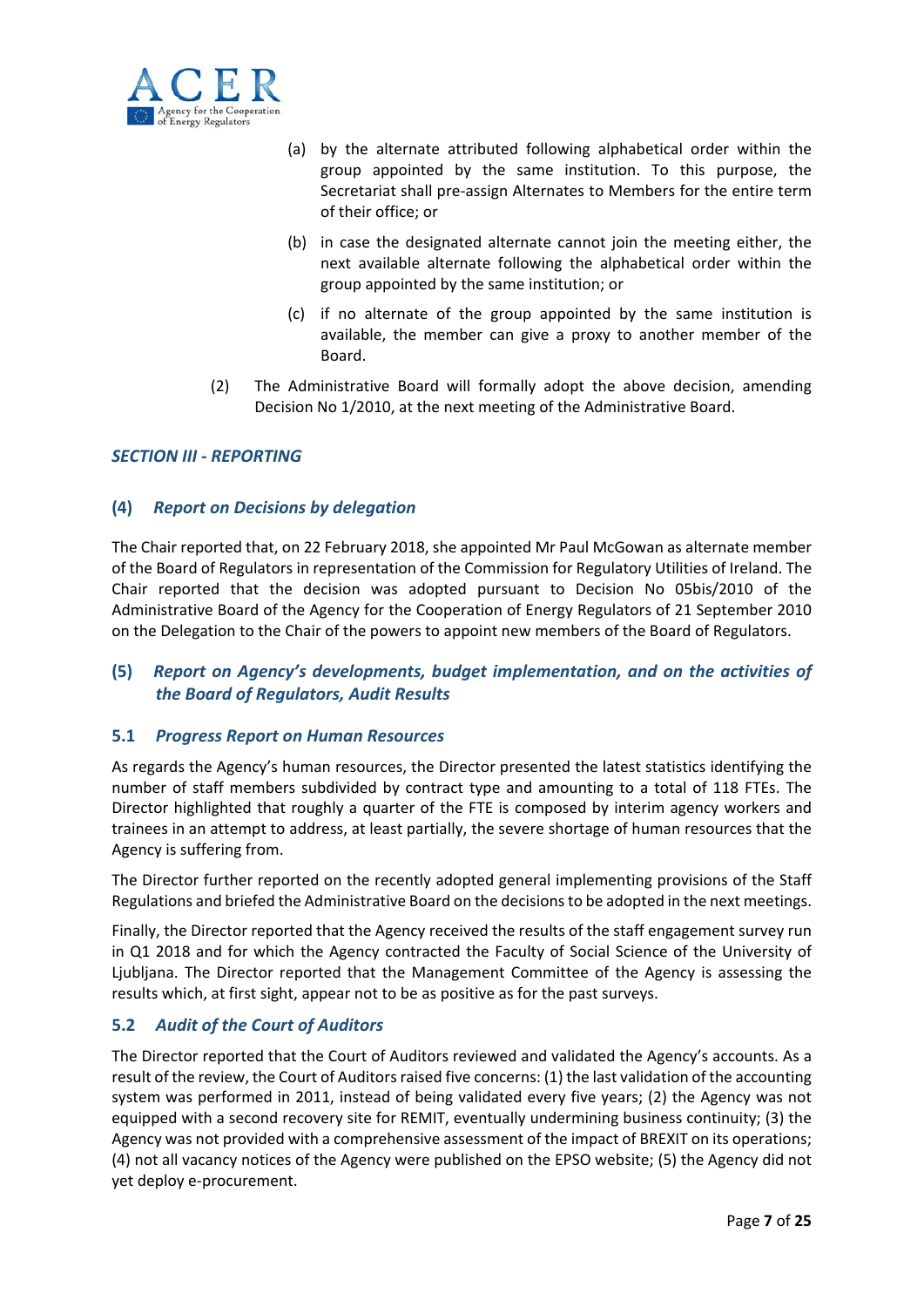

- (a) by the alternate attributed following alphabetical order within the group appointed by the same institution. To this purpose, the Secretariat shall pre‐assign Alternates to Members for the entire term of their office; or
- (b) in case the designated alternate cannot join the meeting either, the next available alternate following the alphabetical order within the group appointed by the same institution; or
- (c) if no alternate of the group appointed by the same institution is available, the member can give a proxy to another member of the Board.
- (2) The Administrative Board will formally adopt the above decision, amending Decision No 1/2010, at the next meeting of the Administrative Board.

# *SECTION III ‐ REPORTING*

## **(4)** *Report on Decisions by delegation*

The Chair reported that, on 22 February 2018, she appointed Mr Paul McGowan as alternate member of the Board of Regulators in representation of the Commission for Regulatory Utilities of Ireland. The Chair reported that the decision was adopted pursuant to Decision No 05bis/2010 of the Administrative Board of the Agency for the Cooperation of Energy Regulators of 21 September 2010 on the Delegation to the Chair of the powers to appoint new members of the Board of Regulators.

# **(5)** *Report on Agency's developments, budget implementation, and on the activities of the Board of Regulators, Audit Results*

#### **5.1** *Progress Report on Human Resources*

As regards the Agency's human resources, the Director presented the latest statistics identifying the number of staff members subdivided by contract type and amounting to a total of 118 FTEs. The Director highlighted that roughly a quarter of the FTE is composed by interim agency workers and trainees in an attempt to address, at least partially, the severe shortage of human resources that the Agency is suffering from.

The Director further reported on the recently adopted general implementing provisions of the Staff Regulations and briefed the Administrative Board on the decisionsto be adopted in the next meetings.

Finally, the Director reported that the Agency received the results of the staff engagement survey run in Q1 2018 and for which the Agency contracted the Faculty of Social Science of the University of Ljubljana. The Director reported that the Management Committee of the Agency is assessing the results which, at first sight, appear not to be as positive as for the past surveys.

#### **5.2** *Audit of the Court of Auditors*

The Director reported that the Court of Auditors reviewed and validated the Agency's accounts. As a result of the review, the Court of Auditors raised five concerns: (1) the last validation of the accounting system was performed in 2011, instead of being validated every five years; (2) the Agency was not equipped with a second recovery site for REMIT, eventually undermining business continuity; (3) the Agency was not provided with a comprehensive assessment of the impact of BREXIT on its operations; (4) not all vacancy notices of the Agency were published on the EPSO website; (5) the Agency did not yet deploy e‐procurement.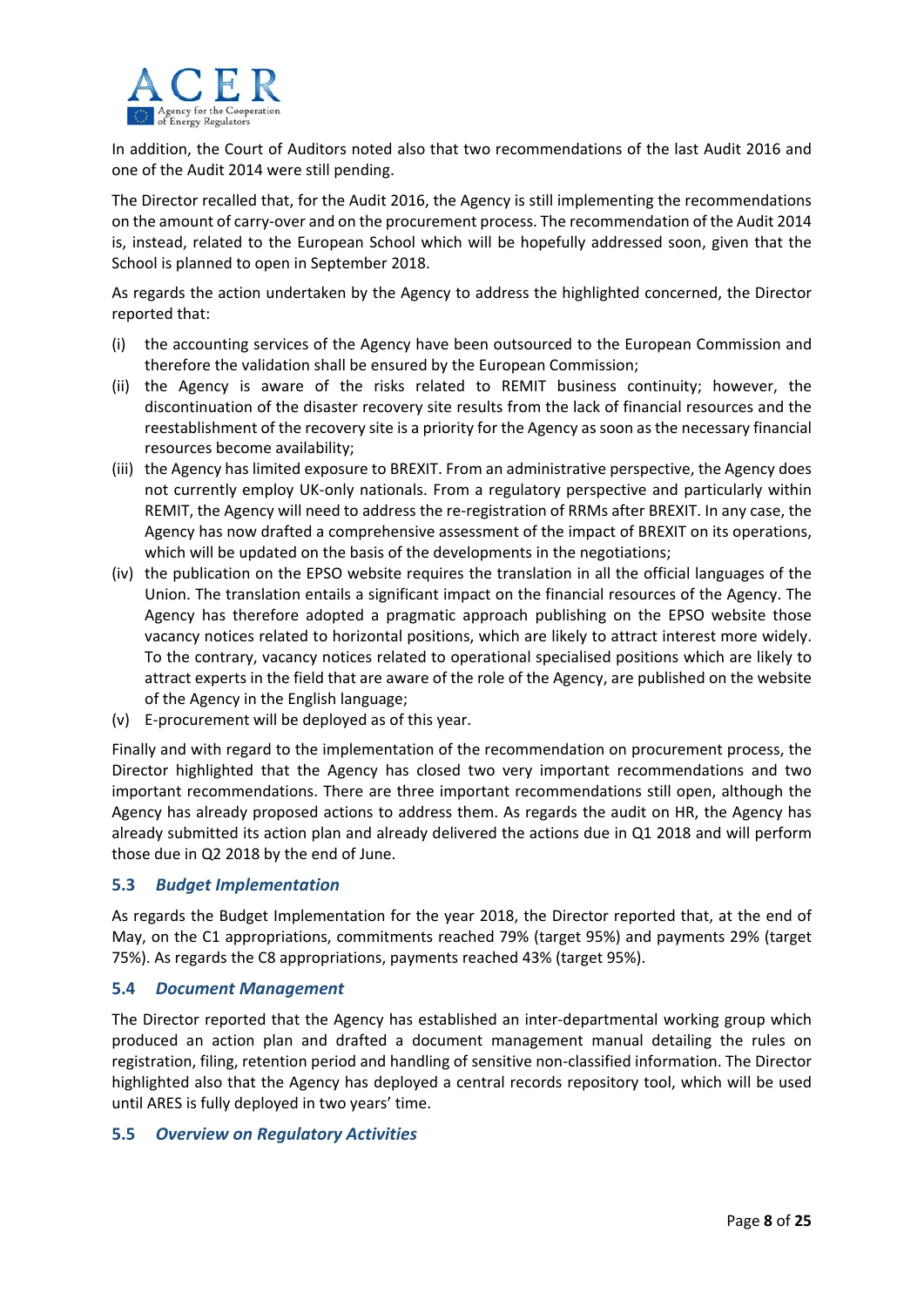

In addition, the Court of Auditors noted also that two recommendations of the last Audit 2016 and one of the Audit 2014 were still pending.

The Director recalled that, for the Audit 2016, the Agency is still implementing the recommendations on the amount of carry-over and on the procurement process. The recommendation of the Audit 2014 is, instead, related to the European School which will be hopefully addressed soon, given that the School is planned to open in September 2018.

As regards the action undertaken by the Agency to address the highlighted concerned, the Director reported that:

- (i) the accounting services of the Agency have been outsourced to the European Commission and therefore the validation shall be ensured by the European Commission;
- (ii) the Agency is aware of the risks related to REMIT business continuity; however, the discontinuation of the disaster recovery site results from the lack of financial resources and the reestablishment of the recovery site is a priority for the Agency as soon as the necessary financial resources become availability;
- (iii) the Agency has limited exposure to BREXIT. From an administrative perspective, the Agency does not currently employ UK-only nationals. From a regulatory perspective and particularly within REMIT, the Agency will need to address the re‐registration of RRMs after BREXIT. In any case, the Agency has now drafted a comprehensive assessment of the impact of BREXIT on its operations, which will be updated on the basis of the developments in the negotiations;
- (iv) the publication on the EPSO website requires the translation in all the official languages of the Union. The translation entails a significant impact on the financial resources of the Agency. The Agency has therefore adopted a pragmatic approach publishing on the EPSO website those vacancy notices related to horizontal positions, which are likely to attract interest more widely. To the contrary, vacancy notices related to operational specialised positions which are likely to attract experts in the field that are aware of the role of the Agency, are published on the website of the Agency in the English language;
- (v) E‐procurement will be deployed as of this year.

Finally and with regard to the implementation of the recommendation on procurement process, the Director highlighted that the Agency has closed two very important recommendations and two important recommendations. There are three important recommendations still open, although the Agency has already proposed actions to address them. As regards the audit on HR, the Agency has already submitted its action plan and already delivered the actions due in Q1 2018 and will perform those due in Q2 2018 by the end of June.

#### **5.3** *Budget Implementation*

As regards the Budget Implementation for the year 2018, the Director reported that, at the end of May, on the C1 appropriations, commitments reached 79% (target 95%) and payments 29% (target 75%). As regards the C8 appropriations, payments reached 43% (target 95%).

#### **5.4** *Document Management*

The Director reported that the Agency has established an inter-departmental working group which produced an action plan and drafted a document management manual detailing the rules on registration, filing, retention period and handling of sensitive non‐classified information. The Director highlighted also that the Agency has deployed a central records repository tool, which will be used until ARES is fully deployed in two years' time.

#### **5.5** *Overview on Regulatory Activities*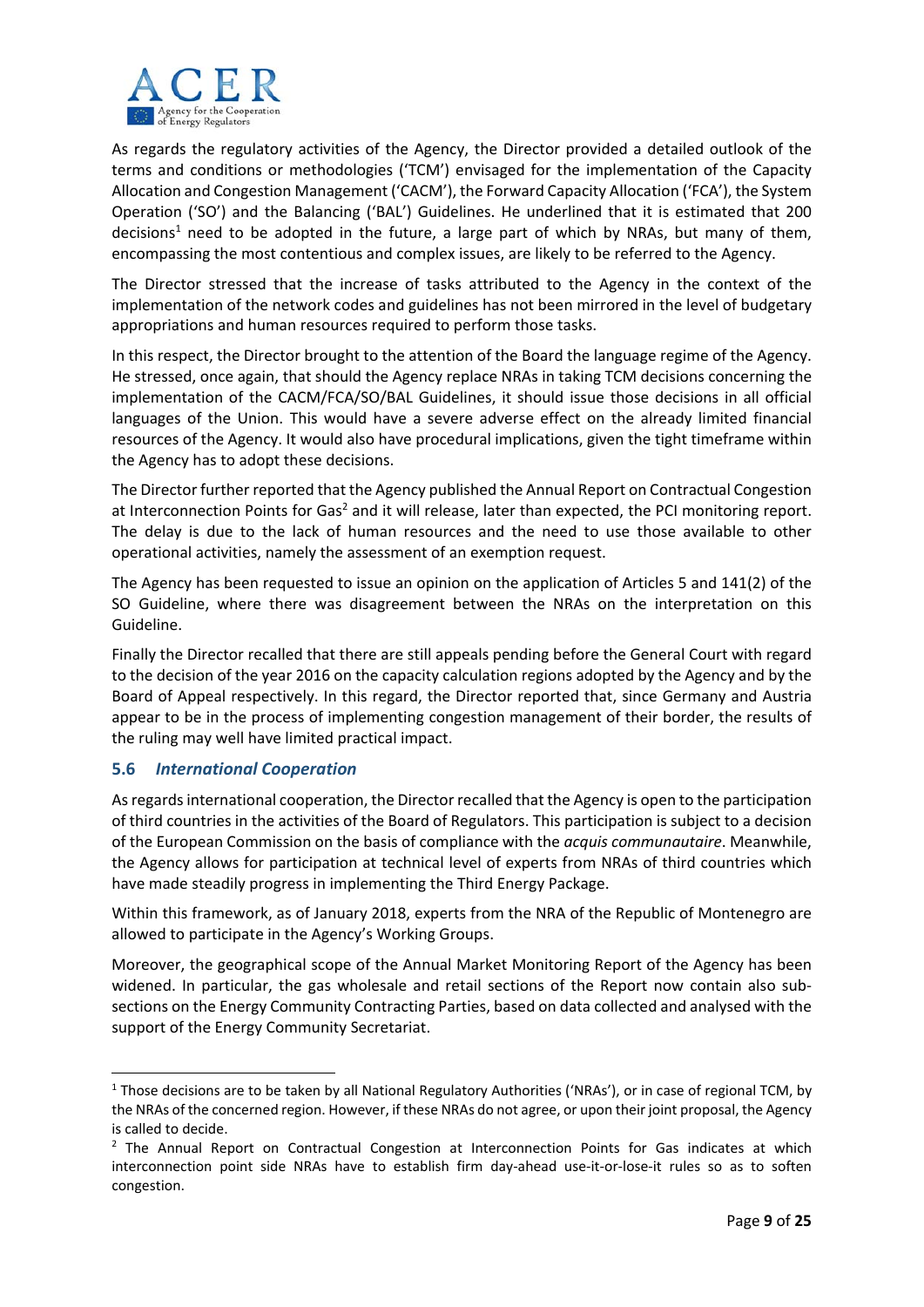

As regards the regulatory activities of the Agency, the Director provided a detailed outlook of the terms and conditions or methodologies ('TCM') envisaged for the implementation of the Capacity Allocation and Congestion Management ('CACM'), the Forward Capacity Allocation ('FCA'), the System Operation ('SO') and the Balancing ('BAL') Guidelines. He underlined that it is estimated that 200 decisions<sup>1</sup> need to be adopted in the future, a large part of which by NRAs, but many of them, encompassing the most contentious and complex issues, are likely to be referred to the Agency.

The Director stressed that the increase of tasks attributed to the Agency in the context of the implementation of the network codes and guidelines has not been mirrored in the level of budgetary appropriations and human resources required to perform those tasks.

In this respect, the Director brought to the attention of the Board the language regime of the Agency. He stressed, once again, that should the Agency replace NRAs in taking TCM decisions concerning the implementation of the CACM/FCA/SO/BAL Guidelines, it should issue those decisions in all official languages of the Union. This would have a severe adverse effect on the already limited financial resources of the Agency. It would also have procedural implications, given the tight timeframe within the Agency has to adopt these decisions.

The Director further reported that the Agency published the Annual Report on Contractual Congestion at Interconnection Points for Gas<sup>2</sup> and it will release, later than expected, the PCI monitoring report. The delay is due to the lack of human resources and the need to use those available to other operational activities, namely the assessment of an exemption request.

The Agency has been requested to issue an opinion on the application of Articles 5 and 141(2) of the SO Guideline, where there was disagreement between the NRAs on the interpretation on this Guideline.

Finally the Director recalled that there are still appeals pending before the General Court with regard to the decision of the year 2016 on the capacity calculation regions adopted by the Agency and by the Board of Appeal respectively. In this regard, the Director reported that, since Germany and Austria appear to be in the process of implementing congestion management of their border, the results of the ruling may well have limited practical impact.

# **5.6** *International Cooperation*

Asregardsinternational cooperation, the Director recalled that the Agency is open to the participation of third countries in the activities of the Board of Regulators. This participation is subject to a decision of the European Commission on the basis of compliance with the *acquis communautaire*. Meanwhile, the Agency allows for participation at technical level of experts from NRAs of third countries which have made steadily progress in implementing the Third Energy Package.

Within this framework, as of January 2018, experts from the NRA of the Republic of Montenegro are allowed to participate in the Agency's Working Groups.

Moreover, the geographical scope of the Annual Market Monitoring Report of the Agency has been widened. In particular, the gas wholesale and retail sections of the Report now contain also subsections on the Energy Community Contracting Parties, based on data collected and analysed with the support of the Energy Community Secretariat.

<sup>&</sup>lt;sup>1</sup> Those decisions are to be taken by all National Regulatory Authorities ('NRAs'), or in case of regional TCM, by the NRAs of the concerned region. However, if these NRAs do not agree, or upon their joint proposal, the Agency is called to decide.

<sup>&</sup>lt;sup>2</sup> The Annual Report on Contractual Congestion at Interconnection Points for Gas indicates at which interconnection point side NRAs have to establish firm day-ahead use-it-or-lose-it rules so as to soften congestion.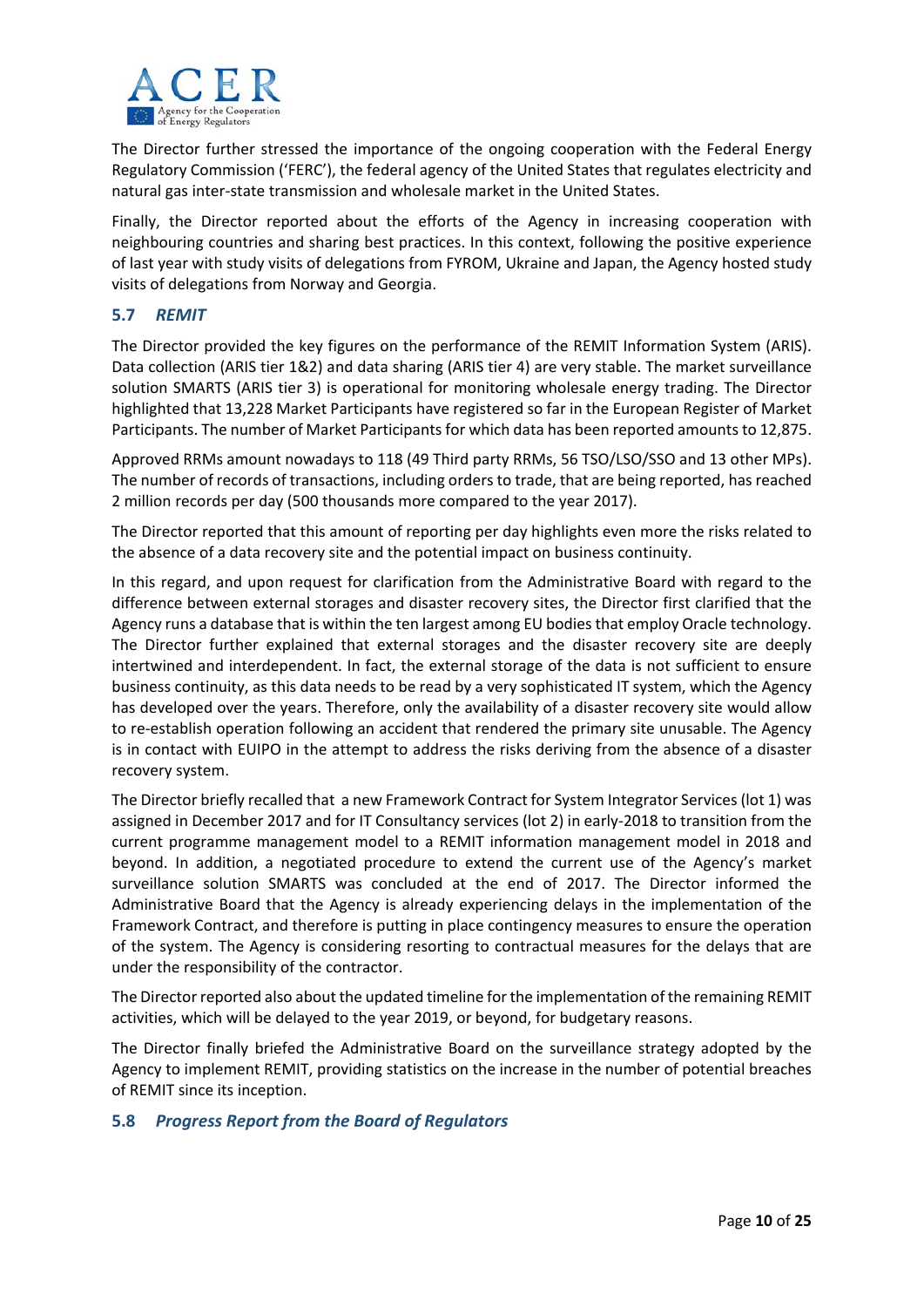

The Director further stressed the importance of the ongoing cooperation with the Federal Energy Regulatory Commission ('FERC'), the federal agency of the United States that regulates electricity and natural gas inter‐state transmission and wholesale market in the United States.

Finally, the Director reported about the efforts of the Agency in increasing cooperation with neighbouring countries and sharing best practices. In this context, following the positive experience of last year with study visits of delegations from FYROM, Ukraine and Japan, the Agency hosted study visits of delegations from Norway and Georgia.

## **5.7** *REMIT*

The Director provided the key figures on the performance of the REMIT Information System (ARIS). Data collection (ARIS tier 1&2) and data sharing (ARIS tier 4) are very stable. The market surveillance solution SMARTS (ARIS tier 3) is operational for monitoring wholesale energy trading. The Director highlighted that 13,228 Market Participants have registered so far in the European Register of Market Participants. The number of Market Participants for which data has been reported amounts to 12,875.

Approved RRMs amount nowadays to 118 (49 Third party RRMs, 56 TSO/LSO/SSO and 13 other MPs). The number of records of transactions, including orders to trade, that are being reported, has reached 2 million records per day (500 thousands more compared to the year 2017).

The Director reported that this amount of reporting per day highlights even more the risks related to the absence of a data recovery site and the potential impact on business continuity.

In this regard, and upon request for clarification from the Administrative Board with regard to the difference between external storages and disaster recovery sites, the Director first clarified that the Agency runs a database that is within the ten largest among EU bodies that employ Oracle technology. The Director further explained that external storages and the disaster recovery site are deeply intertwined and interdependent. In fact, the external storage of the data is not sufficient to ensure business continuity, as this data needs to be read by a very sophisticated IT system, which the Agency has developed over the years. Therefore, only the availability of a disaster recovery site would allow to re-establish operation following an accident that rendered the primary site unusable. The Agency is in contact with EUIPO in the attempt to address the risks deriving from the absence of a disaster recovery system.

The Director briefly recalled that a new Framework Contract for System Integrator Services(lot 1) was assigned in December 2017 and for IT Consultancy services (lot 2) in early‐2018 to transition from the current programme management model to a REMIT information management model in 2018 and beyond. In addition, a negotiated procedure to extend the current use of the Agency's market surveillance solution SMARTS was concluded at the end of 2017. The Director informed the Administrative Board that the Agency is already experiencing delays in the implementation of the Framework Contract, and therefore is putting in place contingency measures to ensure the operation of the system. The Agency is considering resorting to contractual measures for the delays that are under the responsibility of the contractor.

The Directorreported also about the updated timeline for the implementation of the remaining REMIT activities, which will be delayed to the year 2019, or beyond, for budgetary reasons.

The Director finally briefed the Administrative Board on the surveillance strategy adopted by the Agency to implement REMIT, providing statistics on the increase in the number of potential breaches of REMIT since its inception.

#### **5.8** *Progress Report from the Board of Regulators*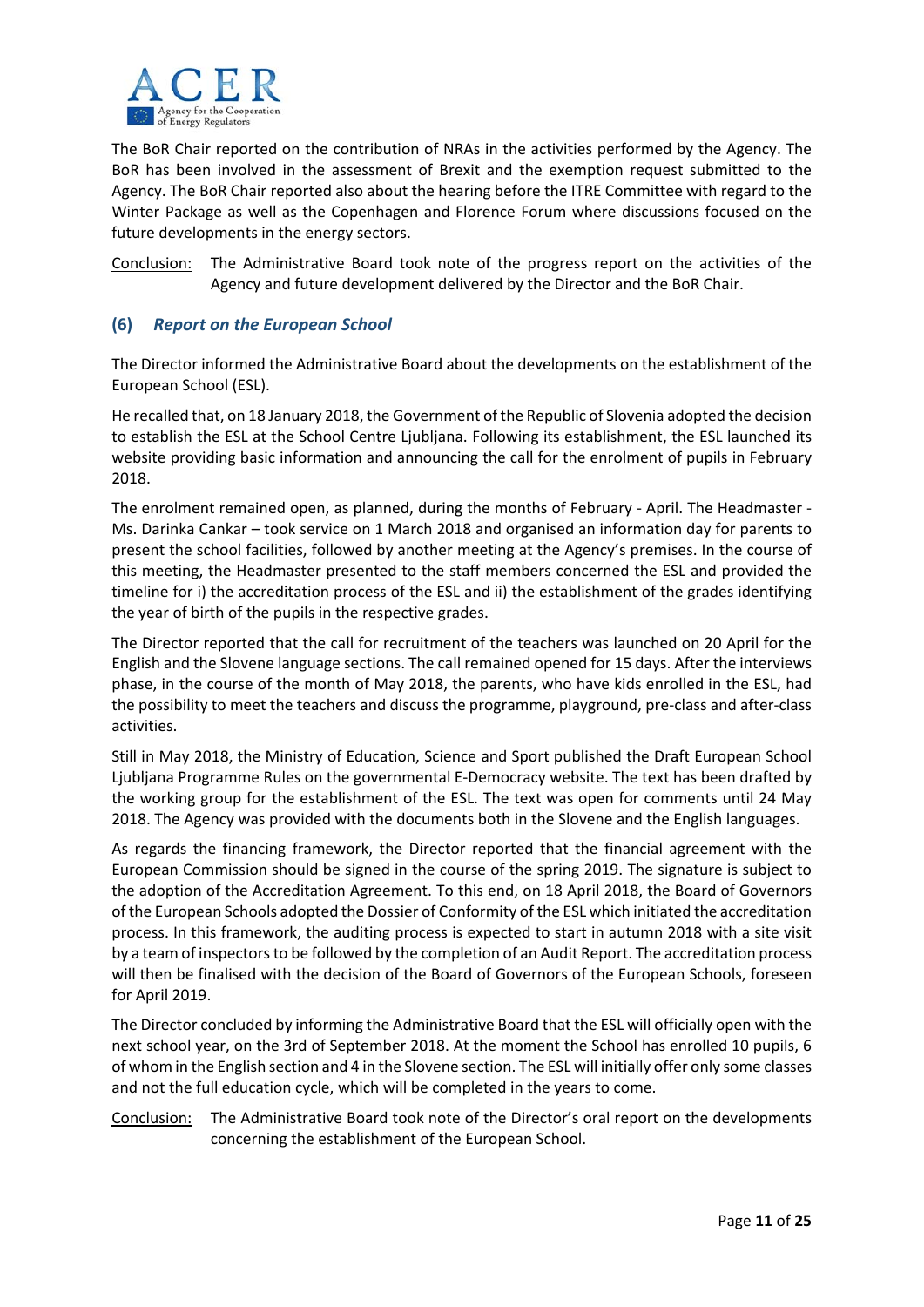

The BoR Chair reported on the contribution of NRAs in the activities performed by the Agency. The BoR has been involved in the assessment of Brexit and the exemption request submitted to the Agency. The BoR Chair reported also about the hearing before the ITRE Committee with regard to the Winter Package as well as the Copenhagen and Florence Forum where discussions focused on the future developments in the energy sectors.

Conclusion: The Administrative Board took note of the progress report on the activities of the Agency and future development delivered by the Director and the BoR Chair.

# **(6)** *Report on the European School*

The Director informed the Administrative Board about the developments on the establishment of the European School (ESL).

He recalled that, on 18 January 2018, the Government of the Republic of Slovenia adopted the decision to establish the ESL at the School Centre Ljubljana. Following its establishment, the ESL launched its website providing basic information and announcing the call for the enrolment of pupils in February 2018.

The enrolment remained open, as planned, during the months of February - April. The Headmaster -Ms. Darinka Cankar – took service on 1 March 2018 and organised an information day for parents to present the school facilities, followed by another meeting at the Agency's premises. In the course of this meeting, the Headmaster presented to the staff members concerned the ESL and provided the timeline for i) the accreditation process of the ESL and ii) the establishment of the grades identifying the year of birth of the pupils in the respective grades.

The Director reported that the call for recruitment of the teachers was launched on 20 April for the English and the Slovene language sections. The call remained opened for 15 days. After the interviews phase, in the course of the month of May 2018, the parents, who have kids enrolled in the ESL, had the possibility to meet the teachers and discuss the programme, playground, pre‐class and after‐class activities.

Still in May 2018, the Ministry of Education, Science and Sport published the Draft European School Ljubljana Programme Rules on the governmental E‐Democracy website. The text has been drafted by the working group for the establishment of the ESL. The text was open for comments until 24 May 2018. The Agency was provided with the documents both in the Slovene and the English languages.

As regards the financing framework, the Director reported that the financial agreement with the European Commission should be signed in the course of the spring 2019. The signature is subject to the adoption of the Accreditation Agreement. To this end, on 18 April 2018, the Board of Governors of the European Schools adopted the Dossier of Conformity of the ESL which initiated the accreditation process. In this framework, the auditing process is expected to start in autumn 2018 with a site visit by a team of inspectorsto be followed by the completion of an Audit Report. The accreditation process will then be finalised with the decision of the Board of Governors of the European Schools, foreseen for April 2019.

The Director concluded by informing the Administrative Board that the ESL will officially open with the next school year, on the 3rd of September 2018. At the moment the School has enrolled 10 pupils, 6 of whom in the English section and 4 in the Slovene section. The ESL will initially offer only some classes and not the full education cycle, which will be completed in the years to come.

## Conclusion: The Administrative Board took note of the Director's oral report on the developments concerning the establishment of the European School.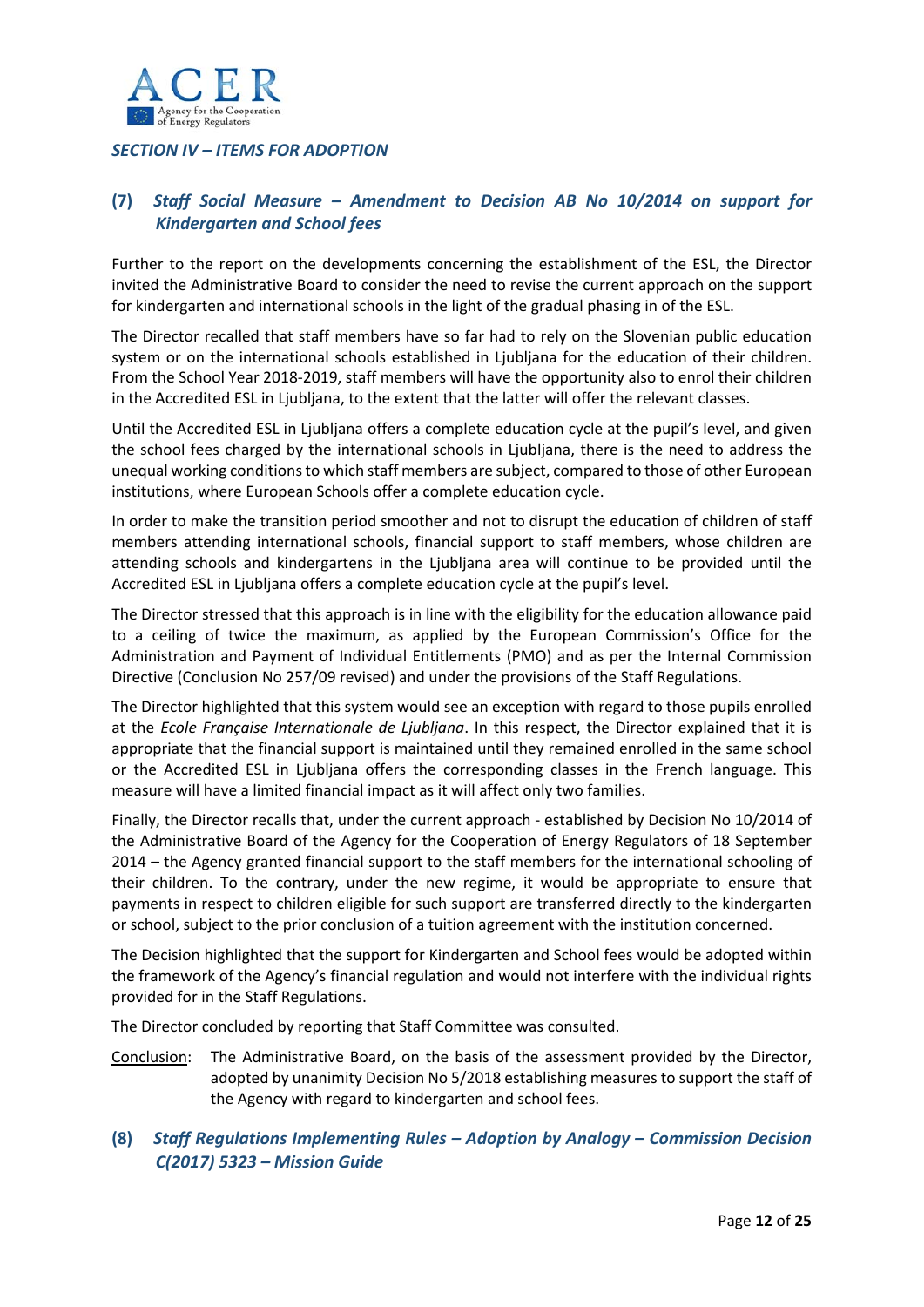

# *SECTION IV – ITEMS FOR ADOPTION*

# **(7)** *Staff Social Measure – Amendment to Decision AB No 10/2014 on support for Kindergarten and School fees*

Further to the report on the developments concerning the establishment of the ESL, the Director invited the Administrative Board to consider the need to revise the current approach on the support for kindergarten and international schools in the light of the gradual phasing in of the ESL.

The Director recalled that staff members have so far had to rely on the Slovenian public education system or on the international schools established in Ljubljana for the education of their children. From the School Year 2018‐2019, staff members will have the opportunity also to enrol their children in the Accredited ESL in Ljubljana, to the extent that the latter will offer the relevant classes.

Until the Accredited ESL in Ljubljana offers a complete education cycle at the pupil's level, and given the school fees charged by the international schools in Ljubljana, there is the need to address the unequal working conditionsto which staff members are subject, compared to those of other European institutions, where European Schools offer a complete education cycle.

In order to make the transition period smoother and not to disrupt the education of children of staff members attending international schools, financial support to staff members, whose children are attending schools and kindergartens in the Ljubljana area will continue to be provided until the Accredited ESL in Ljubljana offers a complete education cycle at the pupil's level.

The Director stressed that this approach is in line with the eligibility for the education allowance paid to a ceiling of twice the maximum, as applied by the European Commission's Office for the Administration and Payment of Individual Entitlements (PMO) and as per the Internal Commission Directive (Conclusion No 257/09 revised) and under the provisions of the Staff Regulations.

The Director highlighted that this system would see an exception with regard to those pupils enrolled at the *Ecole Française Internationale de Ljubljana*. In this respect, the Director explained that it is appropriate that the financial support is maintained until they remained enrolled in the same school or the Accredited ESL in Ljubljana offers the corresponding classes in the French language. This measure will have a limited financial impact as it will affect only two families.

Finally, the Director recalls that, under the current approach ‐ established by Decision No 10/2014 of the Administrative Board of the Agency for the Cooperation of Energy Regulators of 18 September 2014 – the Agency granted financial support to the staff members for the international schooling of their children. To the contrary, under the new regime, it would be appropriate to ensure that payments in respect to children eligible for such support are transferred directly to the kindergarten or school, subject to the prior conclusion of a tuition agreement with the institution concerned.

The Decision highlighted that the support for Kindergarten and School fees would be adopted within the framework of the Agency's financial regulation and would not interfere with the individual rights provided for in the Staff Regulations.

The Director concluded by reporting that Staff Committee was consulted.

- Conclusion: The Administrative Board, on the basis of the assessment provided by the Director, adopted by unanimity Decision No 5/2018 establishing measures to support the staff of the Agency with regard to kindergarten and school fees.
- **(8)** *Staff Regulations Implementing Rules – Adoption by Analogy – Commission Decision C(2017) 5323 – Mission Guide*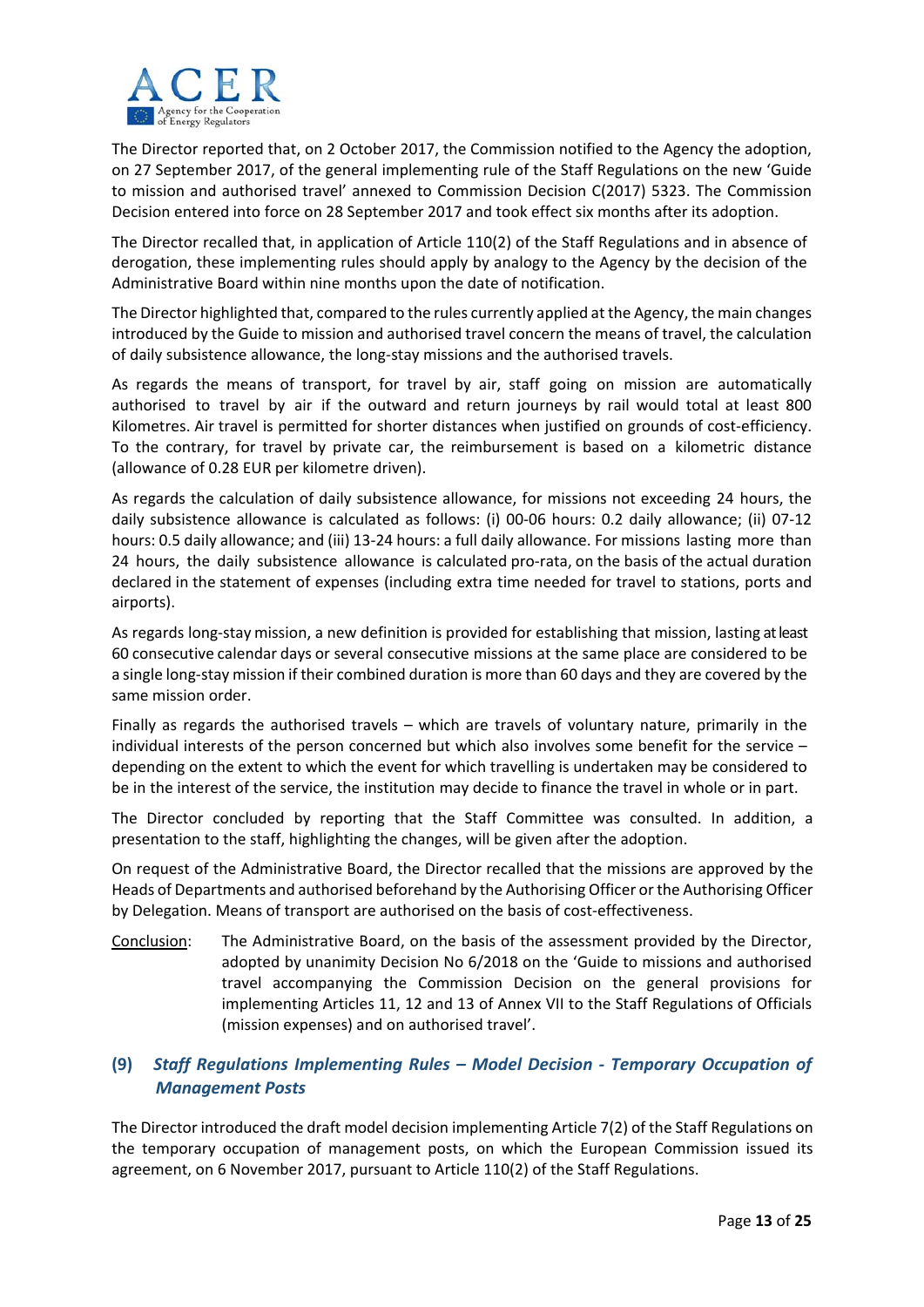

The Director reported that, on 2 October 2017, the Commission notified to the Agency the adoption, on 27 September 2017, of the general implementing rule of the Staff Regulations on the new 'Guide to mission and authorised travel' annexed to Commission Decision C(2017) 5323. The Commission Decision entered into force on 28 September 2017 and took effect six months after its adoption.

The Director recalled that, in application of Article 110(2) of the Staff Regulations and in absence of derogation, these implementing rules should apply by analogy to the Agency by the decision of the Administrative Board within nine months upon the date of notification.

The Director highlighted that, compared to the rules currently applied at the Agency, the main changes introduced by the Guide to mission and authorised travel concern the means of travel, the calculation of daily subsistence allowance, the long‐stay missions and the authorised travels.

As regards the means of transport, for travel by air, staff going on mission are automatically authorised to travel by air if the outward and return journeys by rail would total at least 800 Kilometres. Air travel is permitted for shorter distances when justified on grounds of cost-efficiency. To the contrary, for travel by private car, the reimbursement is based on a kilometric distance (allowance of 0.28 EUR per kilometre driven).

As regards the calculation of daily subsistence allowance, for missions not exceeding 24 hours, the daily subsistence allowance is calculated as follows: (i) 00‐06 hours: 0.2 daily allowance; (ii) 07‐12 hours: 0.5 daily allowance; and (iii) 13-24 hours: a full daily allowance. For missions lasting more than 24 hours, the daily subsistence allowance is calculated pro-rata, on the basis of the actual duration declared in the statement of expenses (including extra time needed for travel to stations, ports and airports).

As regards long‐stay mission, a new definition is provided for establishing that mission, lasting atleast 60 consecutive calendar days or several consecutive missions at the same place are considered to be a single long‐stay mission if their combined duration is more than 60 days and they are covered by the same mission order.

Finally as regards the authorised travels – which are travels of voluntary nature, primarily in the individual interests of the person concerned but which also involves some benefit for the service – depending on the extent to which the event for which travelling is undertaken may be considered to be in the interest of the service, the institution may decide to finance the travel in whole or in part.

The Director concluded by reporting that the Staff Committee was consulted. In addition, a presentation to the staff, highlighting the changes, will be given after the adoption.

On request of the Administrative Board, the Director recalled that the missions are approved by the Heads of Departments and authorised beforehand by the Authorising Officer or the Authorising Officer by Delegation. Means of transport are authorised on the basis of cost-effectiveness.

Conclusion: The Administrative Board, on the basis of the assessment provided by the Director, adopted by unanimity Decision No 6/2018 on the 'Guide to missions and authorised travel accompanying the Commission Decision on the general provisions for implementing Articles 11, 12 and 13 of Annex VII to the Staff Regulations of Officials (mission expenses) and on authorised travel'.

# **(9)** *Staff Regulations Implementing Rules – Model Decision ‐ Temporary Occupation of Management Posts*

The Director introduced the draft model decision implementing Article 7(2) of the Staff Regulations on the temporary occupation of management posts, on which the European Commission issued its agreement, on 6 November 2017, pursuant to Article 110(2) of the Staff Regulations.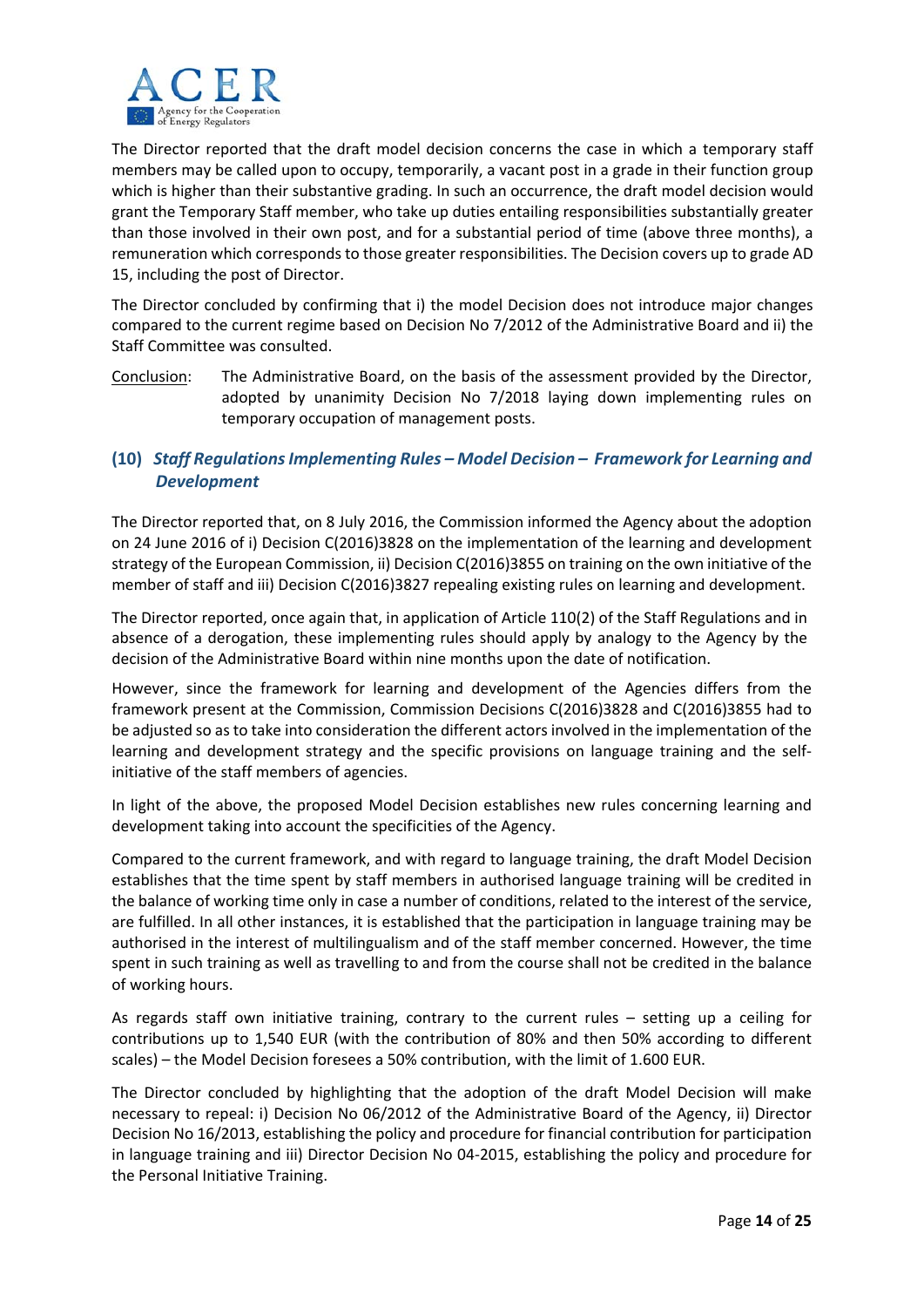

The Director reported that the draft model decision concerns the case in which a temporary staff members may be called upon to occupy, temporarily, a vacant post in a grade in their function group which is higher than their substantive grading. In such an occurrence, the draft model decision would grant the Temporary Staff member, who take up duties entailing responsibilities substantially greater than those involved in their own post, and for a substantial period of time (above three months), a remuneration which corresponds to those greater responsibilities. The Decision covers up to grade AD 15, including the post of Director.

The Director concluded by confirming that i) the model Decision does not introduce major changes compared to the current regime based on Decision No 7/2012 of the Administrative Board and ii) the Staff Committee was consulted.

Conclusion: The Administrative Board, on the basis of the assessment provided by the Director, adopted by unanimity Decision No 7/2018 laying down implementing rules on temporary occupation of management posts.

# **(10)** *Staff RegulationsImplementing Rules – Model Decision – Framework for Learning and Development*

The Director reported that, on 8 July 2016, the Commission informed the Agency about the adoption on 24 June 2016 of i) Decision C(2016)3828 on the implementation of the learning and development strategy of the European Commission, ii) Decision C(2016)3855 on training on the own initiative of the member of staff and iii) Decision C(2016)3827 repealing existing rules on learning and development.

The Director reported, once again that, in application of Article 110(2) of the Staff Regulations and in absence of a derogation, these implementing rules should apply by analogy to the Agency by the decision of the Administrative Board within nine months upon the date of notification.

However, since the framework for learning and development of the Agencies differs from the framework present at the Commission, Commission Decisions C(2016)3828 and C(2016)3855 had to be adjusted so as to take into consideration the different actors involved in the implementation of the learning and development strategy and the specific provisions on language training and the selfinitiative of the staff members of agencies.

In light of the above, the proposed Model Decision establishes new rules concerning learning and development taking into account the specificities of the Agency.

Compared to the current framework, and with regard to language training, the draft Model Decision establishes that the time spent by staff members in authorised language training will be credited in the balance of working time only in case a number of conditions, related to the interest of the service, are fulfilled. In all other instances, it is established that the participation in language training may be authorised in the interest of multilingualism and of the staff member concerned. However, the time spent in such training as well as travelling to and from the course shall not be credited in the balance of working hours.

As regards staff own initiative training, contrary to the current rules – setting up a ceiling for contributions up to 1,540 EUR (with the contribution of 80% and then 50% according to different scales) – the Model Decision foresees a 50% contribution, with the limit of 1.600 EUR.

The Director concluded by highlighting that the adoption of the draft Model Decision will make necessary to repeal: i) Decision No 06/2012 of the Administrative Board of the Agency, ii) Director Decision No 16/2013, establishing the policy and procedure for financial contribution for participation in language training and iii) Director Decision No 04‐2015, establishing the policy and procedure for the Personal Initiative Training.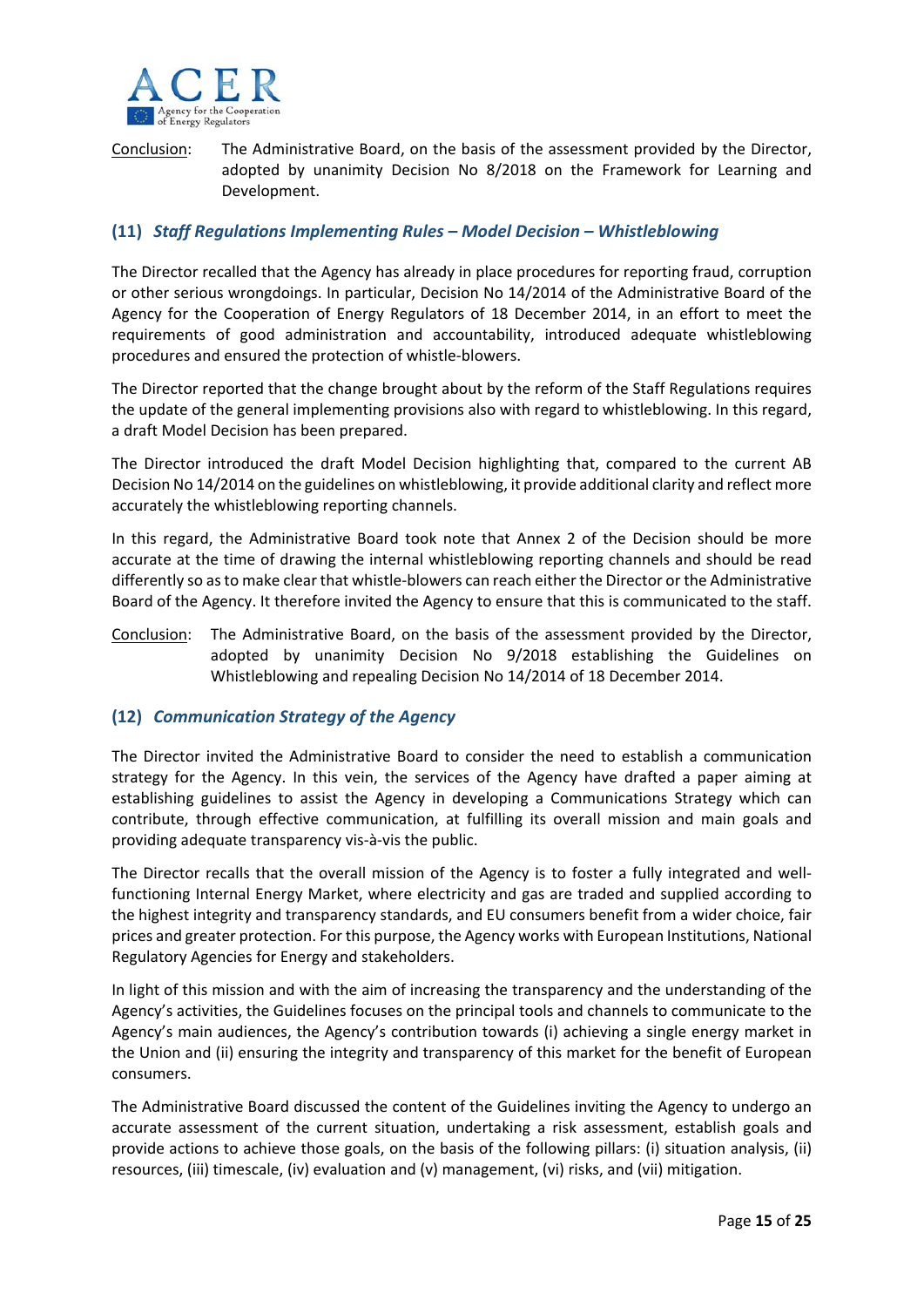

Conclusion: The Administrative Board, on the basis of the assessment provided by the Director, adopted by unanimity Decision No 8/2018 on the Framework for Learning and Development.

## **(11)** *Staff Regulations Implementing Rules – Model Decision – Whistleblowing*

The Director recalled that the Agency has already in place procedures for reporting fraud, corruption or other serious wrongdoings. In particular, Decision No 14/2014 of the Administrative Board of the Agency for the Cooperation of Energy Regulators of 18 December 2014, in an effort to meet the requirements of good administration and accountability, introduced adequate whistleblowing procedures and ensured the protection of whistle‐blowers.

The Director reported that the change brought about by the reform of the Staff Regulations requires the update of the general implementing provisions also with regard to whistleblowing. In this regard, a draft Model Decision has been prepared.

The Director introduced the draft Model Decision highlighting that, compared to the current AB Decision No 14/2014 on the guidelines on whistleblowing, it provide additional clarity and reflect more accurately the whistleblowing reporting channels.

In this regard, the Administrative Board took note that Annex 2 of the Decision should be more accurate at the time of drawing the internal whistleblowing reporting channels and should be read differently so asto make clear that whistle‐blowers can reach either the Director or the Administrative Board of the Agency. It therefore invited the Agency to ensure that this is communicated to the staff.

Conclusion: The Administrative Board, on the basis of the assessment provided by the Director, adopted by unanimity Decision No 9/2018 establishing the Guidelines on Whistleblowing and repealing Decision No 14/2014 of 18 December 2014.

# **(12)** *Communication Strategy of the Agency*

The Director invited the Administrative Board to consider the need to establish a communication strategy for the Agency. In this vein, the services of the Agency have drafted a paper aiming at establishing guidelines to assist the Agency in developing a Communications Strategy which can contribute, through effective communication, at fulfilling its overall mission and main goals and providing adequate transparency vis‐à‐vis the public.

The Director recalls that the overall mission of the Agency is to foster a fully integrated and wellfunctioning Internal Energy Market, where electricity and gas are traded and supplied according to the highest integrity and transparency standards, and EU consumers benefit from a wider choice, fair prices and greater protection. For this purpose, the Agency works with European Institutions, National Regulatory Agencies for Energy and stakeholders.

In light of this mission and with the aim of increasing the transparency and the understanding of the Agency's activities, the Guidelines focuses on the principal tools and channels to communicate to the Agency's main audiences, the Agency's contribution towards (i) achieving a single energy market in the Union and (ii) ensuring the integrity and transparency of this market for the benefit of European consumers.

The Administrative Board discussed the content of the Guidelines inviting the Agency to undergo an accurate assessment of the current situation, undertaking a risk assessment, establish goals and provide actions to achieve those goals, on the basis of the following pillars: (i) situation analysis, (ii) resources, (iii) timescale, (iv) evaluation and (v) management, (vi) risks, and (vii) mitigation.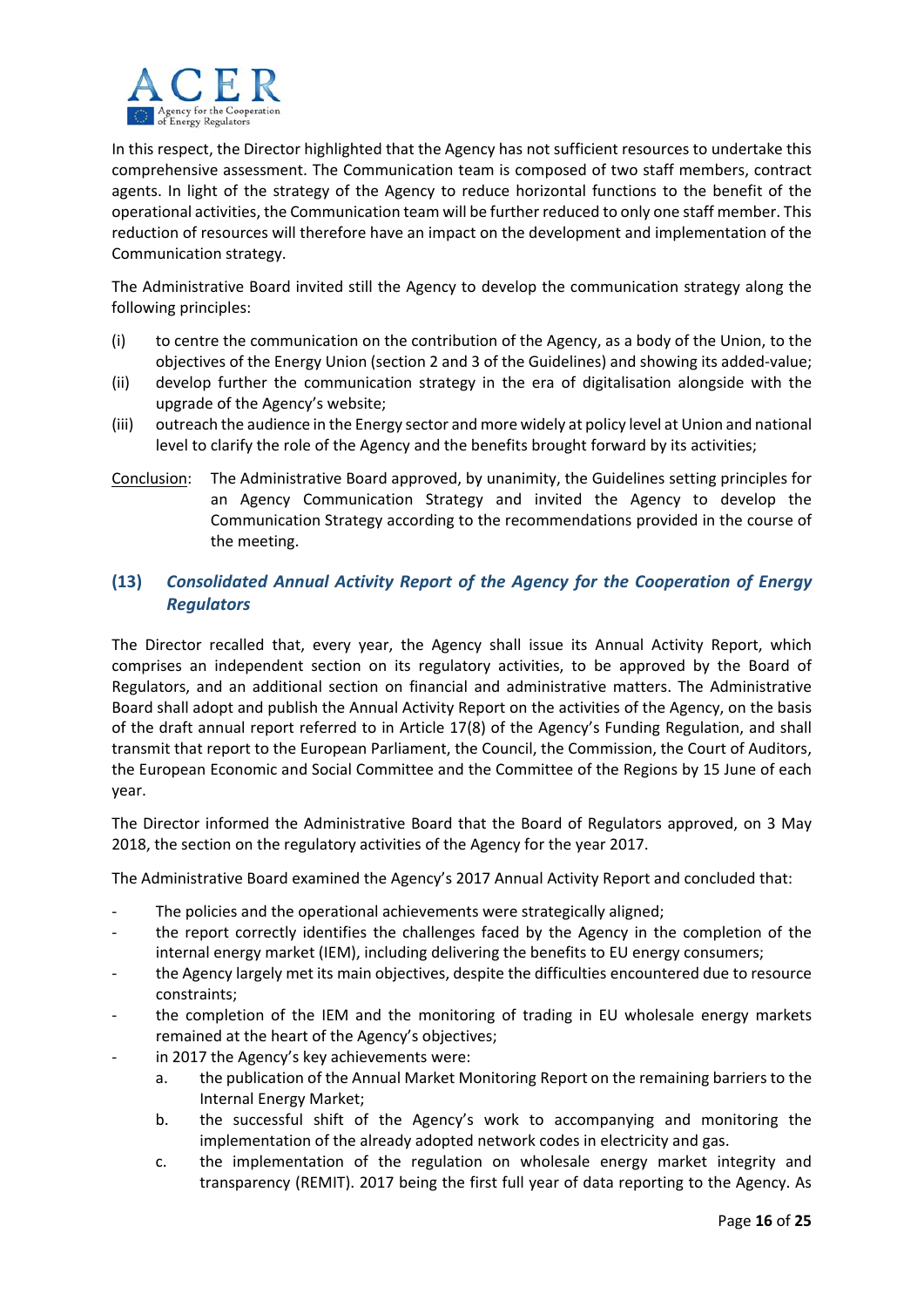

In this respect, the Director highlighted that the Agency has not sufficient resources to undertake this comprehensive assessment. The Communication team is composed of two staff members, contract agents. In light of the strategy of the Agency to reduce horizontal functions to the benefit of the operational activities, the Communication team will be further reduced to only one staff member. This reduction of resources will therefore have an impact on the development and implementation of the Communication strategy.

The Administrative Board invited still the Agency to develop the communication strategy along the following principles:

- (i) to centre the communication on the contribution of the Agency, as a body of the Union, to the objectives of the Energy Union (section 2 and 3 of the Guidelines) and showing its added‐value;
- (ii) develop further the communication strategy in the era of digitalisation alongside with the upgrade of the Agency's website;
- (iii) outreach the audience in the Energy sector and more widely at policy level at Union and national level to clarify the role of the Agency and the benefits brought forward by its activities;
- Conclusion: The Administrative Board approved, by unanimity, the Guidelines setting principles for an Agency Communication Strategy and invited the Agency to develop the Communication Strategy according to the recommendations provided in the course of the meeting.

# **(13)** *Consolidated Annual Activity Report of the Agency for the Cooperation of Energy Regulators*

The Director recalled that, every year, the Agency shall issue its Annual Activity Report, which comprises an independent section on its regulatory activities, to be approved by the Board of Regulators, and an additional section on financial and administrative matters. The Administrative Board shall adopt and publish the Annual Activity Report on the activities of the Agency, on the basis of the draft annual report referred to in Article 17(8) of the Agency's Funding Regulation, and shall transmit that report to the European Parliament, the Council, the Commission, the Court of Auditors, the European Economic and Social Committee and the Committee of the Regions by 15 June of each year.

The Director informed the Administrative Board that the Board of Regulators approved, on 3 May 2018, the section on the regulatory activities of the Agency for the year 2017.

The Administrative Board examined the Agency's 2017 Annual Activity Report and concluded that:

- The policies and the operational achievements were strategically aligned;
- ‐ the report correctly identifies the challenges faced by the Agency in the completion of the internal energy market (IEM), including delivering the benefits to EU energy consumers;
- ‐ the Agency largely met its main objectives, despite the difficulties encountered due to resource constraints;
- the completion of the IEM and the monitoring of trading in EU wholesale energy markets remained at the heart of the Agency's objectives;
- in 2017 the Agency's key achievements were:
	- a. the publication of the Annual Market Monitoring Report on the remaining barriers to the Internal Energy Market;
	- b. the successful shift of the Agency's work to accompanying and monitoring the implementation of the already adopted network codes in electricity and gas.
	- c. the implementation of the regulation on wholesale energy market integrity and transparency (REMIT). 2017 being the first full year of data reporting to the Agency. As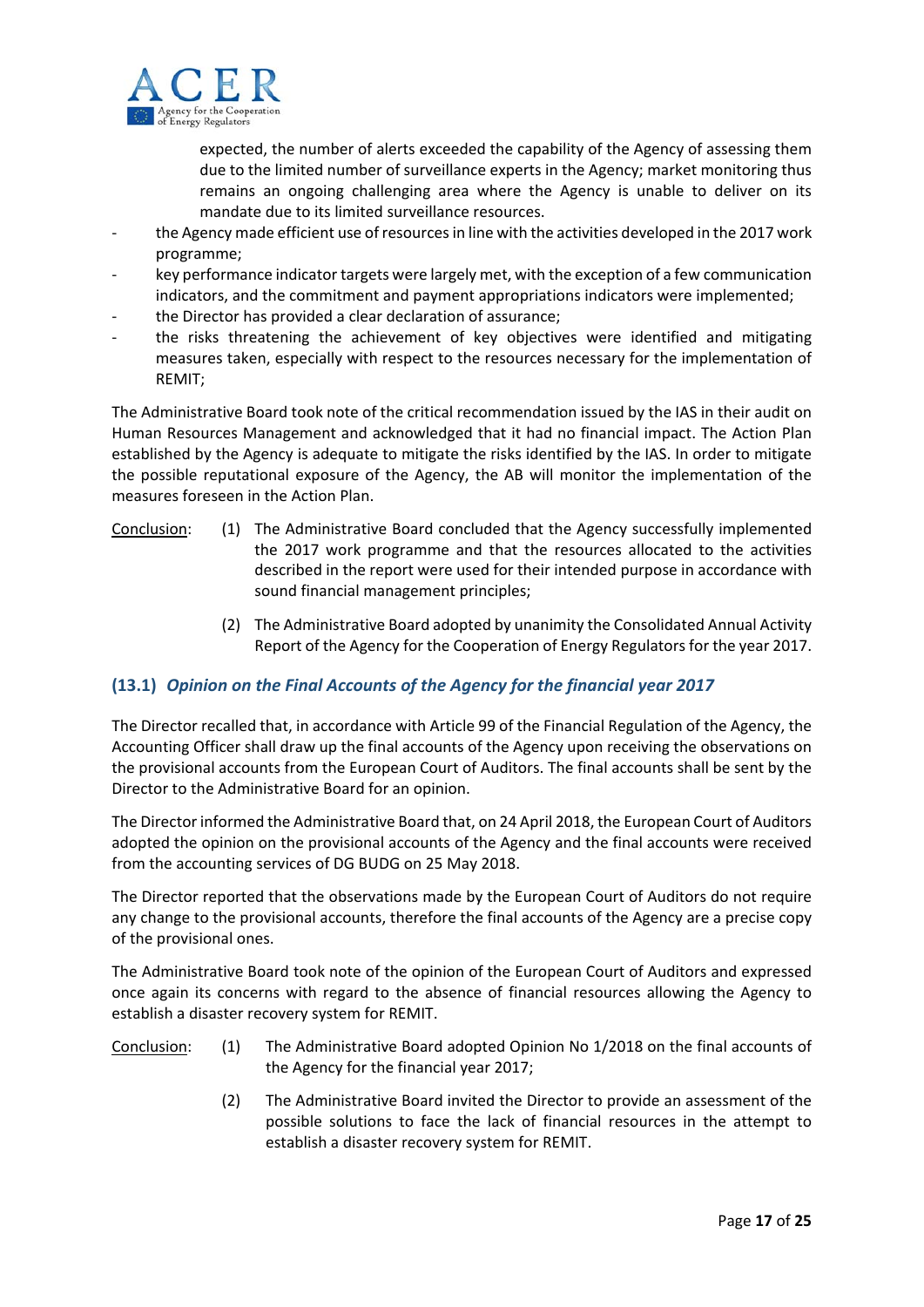

expected, the number of alerts exceeded the capability of the Agency of assessing them due to the limited number of surveillance experts in the Agency; market monitoring thus remains an ongoing challenging area where the Agency is unable to deliver on its mandate due to its limited surveillance resources.

- the Agency made efficient use of resources in line with the activities developed in the 2017 work programme;
- key performance indicator targets were largely met, with the exception of a few communication indicators, and the commitment and payment appropriations indicators were implemented;
- ‐ the Director has provided a clear declaration of assurance;
- the risks threatening the achievement of key objectives were identified and mitigating measures taken, especially with respect to the resources necessary for the implementation of REMIT;

The Administrative Board took note of the critical recommendation issued by the IAS in their audit on Human Resources Management and acknowledged that it had no financial impact. The Action Plan established by the Agency is adequate to mitigate the risks identified by the IAS. In order to mitigate the possible reputational exposure of the Agency, the AB will monitor the implementation of the measures foreseen in the Action Plan.

- Conclusion: (1) The Administrative Board concluded that the Agency successfully implemented the 2017 work programme and that the resources allocated to the activities described in the report were used for their intended purpose in accordance with sound financial management principles;
	- (2) The Administrative Board adopted by unanimity the Consolidated Annual Activity Report of the Agency for the Cooperation of Energy Regulators for the year 2017.

# **(13.1)** *Opinion on the Final Accounts of the Agency for the financial year 2017*

The Director recalled that, in accordance with Article 99 of the Financial Regulation of the Agency, the Accounting Officer shall draw up the final accounts of the Agency upon receiving the observations on the provisional accounts from the European Court of Auditors. The final accounts shall be sent by the Director to the Administrative Board for an opinion.

The Director informed the Administrative Board that, on 24 April 2018, the European Court of Auditors adopted the opinion on the provisional accounts of the Agency and the final accounts were received from the accounting services of DG BUDG on 25 May 2018.

The Director reported that the observations made by the European Court of Auditors do not require any change to the provisional accounts, therefore the final accounts of the Agency are a precise copy of the provisional ones.

The Administrative Board took note of the opinion of the European Court of Auditors and expressed once again its concerns with regard to the absence of financial resources allowing the Agency to establish a disaster recovery system for REMIT.

- Conclusion: (1) The Administrative Board adopted Opinion No 1/2018 on the final accounts of the Agency for the financial year 2017;
	- (2) The Administrative Board invited the Director to provide an assessment of the possible solutions to face the lack of financial resources in the attempt to establish a disaster recovery system for REMIT.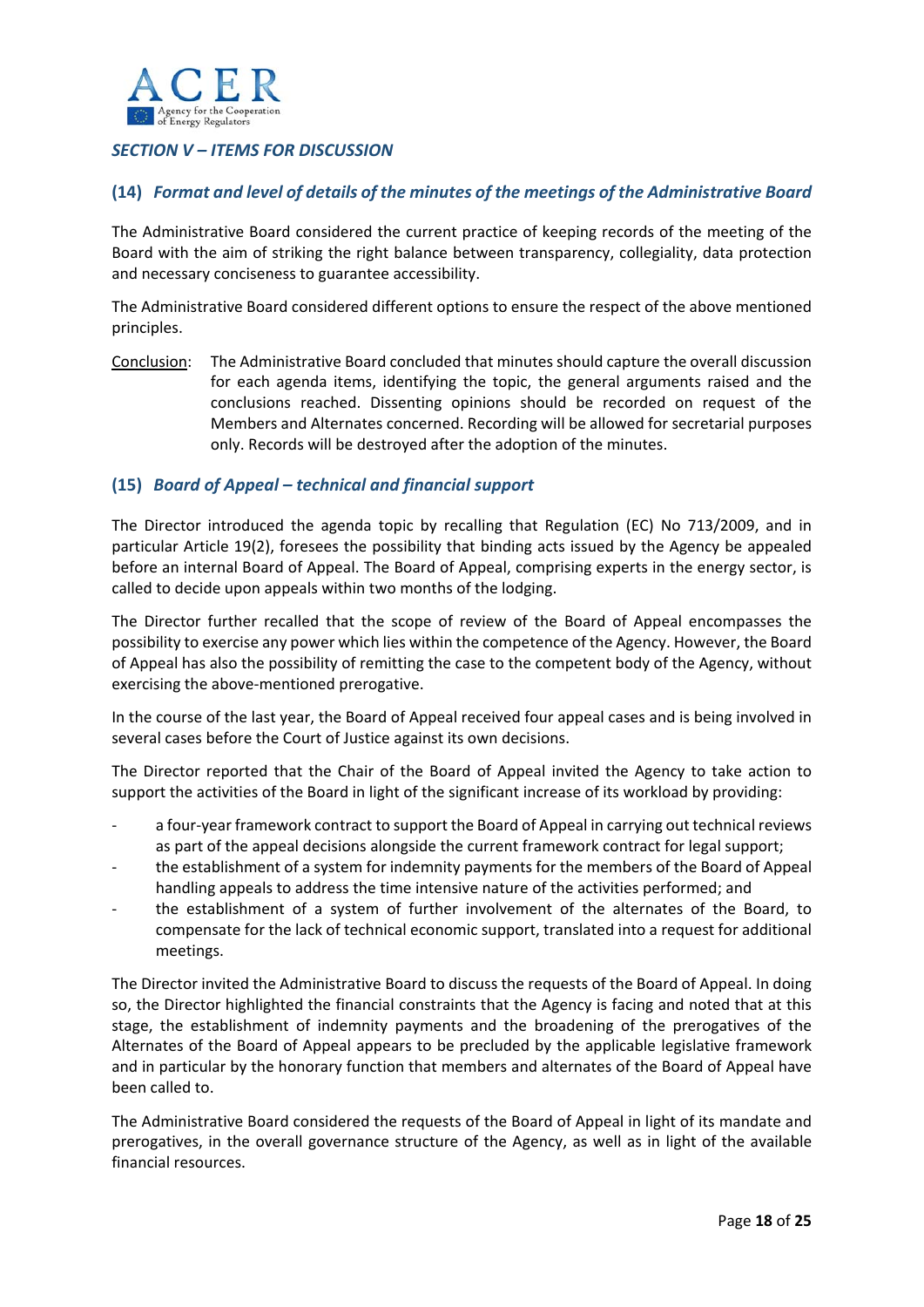

# *SECTION V – ITEMS FOR DISCUSSION*

# **(14)** *Format and level of details of the minutes of the meetings of the Administrative Board*

The Administrative Board considered the current practice of keeping records of the meeting of the Board with the aim of striking the right balance between transparency, collegiality, data protection and necessary conciseness to guarantee accessibility.

The Administrative Board considered different options to ensure the respect of the above mentioned principles.

Conclusion: The Administrative Board concluded that minutes should capture the overall discussion for each agenda items, identifying the topic, the general arguments raised and the conclusions reached. Dissenting opinions should be recorded on request of the Members and Alternates concerned. Recording will be allowed for secretarial purposes only. Records will be destroyed after the adoption of the minutes.

# **(15)** *Board of Appeal – technical and financial support*

The Director introduced the agenda topic by recalling that Regulation (EC) No 713/2009, and in particular Article 19(2), foresees the possibility that binding acts issued by the Agency be appealed before an internal Board of Appeal. The Board of Appeal, comprising experts in the energy sector, is called to decide upon appeals within two months of the lodging.

The Director further recalled that the scope of review of the Board of Appeal encompasses the possibility to exercise any power which lies within the competence of the Agency. However, the Board of Appeal has also the possibility of remitting the case to the competent body of the Agency, without exercising the above‐mentioned prerogative.

In the course of the last year, the Board of Appeal received four appeal cases and is being involved in several cases before the Court of Justice against its own decisions.

The Director reported that the Chair of the Board of Appeal invited the Agency to take action to support the activities of the Board in light of the significant increase of its workload by providing:

- ‐ a four‐year framework contract to support the Board of Appeal in carrying out technical reviews as part of the appeal decisions alongside the current framework contract for legal support;
- ‐ the establishment of a system for indemnity payments for the members of the Board of Appeal handling appeals to address the time intensive nature of the activities performed; and
- ‐ the establishment of a system of further involvement of the alternates of the Board, to compensate for the lack of technical economic support, translated into a request for additional meetings.

The Director invited the Administrative Board to discuss the requests of the Board of Appeal. In doing so, the Director highlighted the financial constraints that the Agency is facing and noted that at this stage, the establishment of indemnity payments and the broadening of the prerogatives of the Alternates of the Board of Appeal appears to be precluded by the applicable legislative framework and in particular by the honorary function that members and alternates of the Board of Appeal have been called to.

The Administrative Board considered the requests of the Board of Appeal in light of its mandate and prerogatives, in the overall governance structure of the Agency, as well as in light of the available financial resources.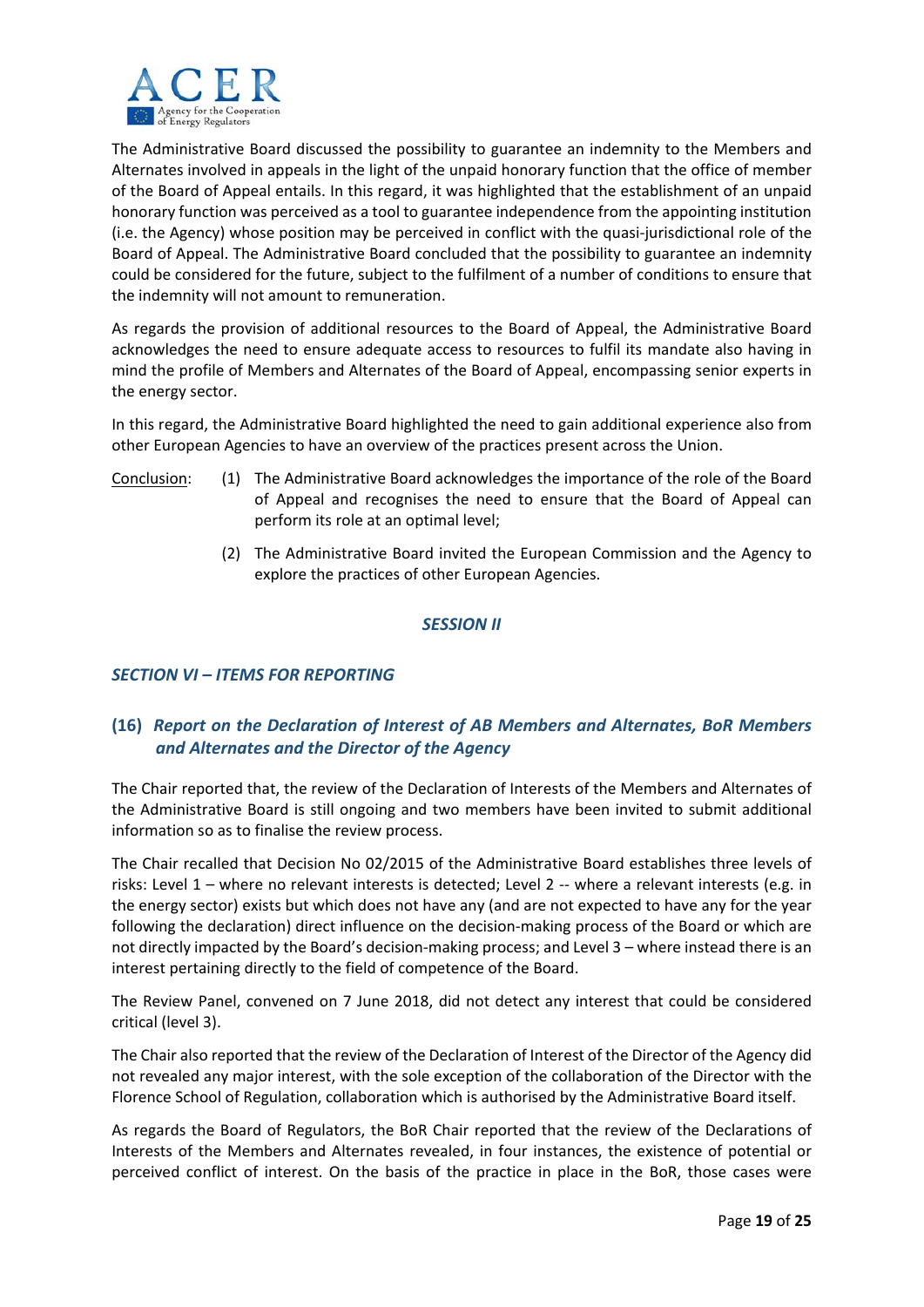

The Administrative Board discussed the possibility to guarantee an indemnity to the Members and Alternates involved in appeals in the light of the unpaid honorary function that the office of member of the Board of Appeal entails. In this regard, it was highlighted that the establishment of an unpaid honorary function was perceived as a tool to guarantee independence from the appointing institution (i.e. the Agency) whose position may be perceived in conflict with the quasi‐jurisdictional role of the Board of Appeal. The Administrative Board concluded that the possibility to guarantee an indemnity could be considered for the future, subject to the fulfilment of a number of conditions to ensure that the indemnity will not amount to remuneration.

As regards the provision of additional resources to the Board of Appeal, the Administrative Board acknowledges the need to ensure adequate access to resources to fulfil its mandate also having in mind the profile of Members and Alternates of the Board of Appeal, encompassing senior experts in the energy sector.

In this regard, the Administrative Board highlighted the need to gain additional experience also from other European Agencies to have an overview of the practices present across the Union.

- Conclusion: (1) The Administrative Board acknowledges the importance of the role of the Board of Appeal and recognises the need to ensure that the Board of Appeal can perform its role at an optimal level;
	- (2) The Administrative Board invited the European Commission and the Agency to explore the practices of other European Agencies.

## *SESSION II*

# *SECTION VI – ITEMS FOR REPORTING*

# **(16)** *Report on the Declaration of Interest of AB Members and Alternates, BoR Members and Alternates and the Director of the Agency*

The Chair reported that, the review of the Declaration of Interests of the Members and Alternates of the Administrative Board is still ongoing and two members have been invited to submit additional information so as to finalise the review process.

The Chair recalled that Decision No 02/2015 of the Administrative Board establishes three levels of risks: Level 1 – where no relevant interests is detected; Level 2 ‐‐ where a relevant interests (e.g. in the energy sector) exists but which does not have any (and are not expected to have any for the year following the declaration) direct influence on the decision-making process of the Board or which are not directly impacted by the Board's decision-making process; and Level 3 – where instead there is an interest pertaining directly to the field of competence of the Board.

The Review Panel, convened on 7 June 2018, did not detect any interest that could be considered critical (level 3).

The Chair also reported that the review of the Declaration of Interest of the Director of the Agency did not revealed any major interest, with the sole exception of the collaboration of the Director with the Florence School of Regulation, collaboration which is authorised by the Administrative Board itself.

As regards the Board of Regulators, the BoR Chair reported that the review of the Declarations of Interests of the Members and Alternates revealed, in four instances, the existence of potential or perceived conflict of interest. On the basis of the practice in place in the BoR, those cases were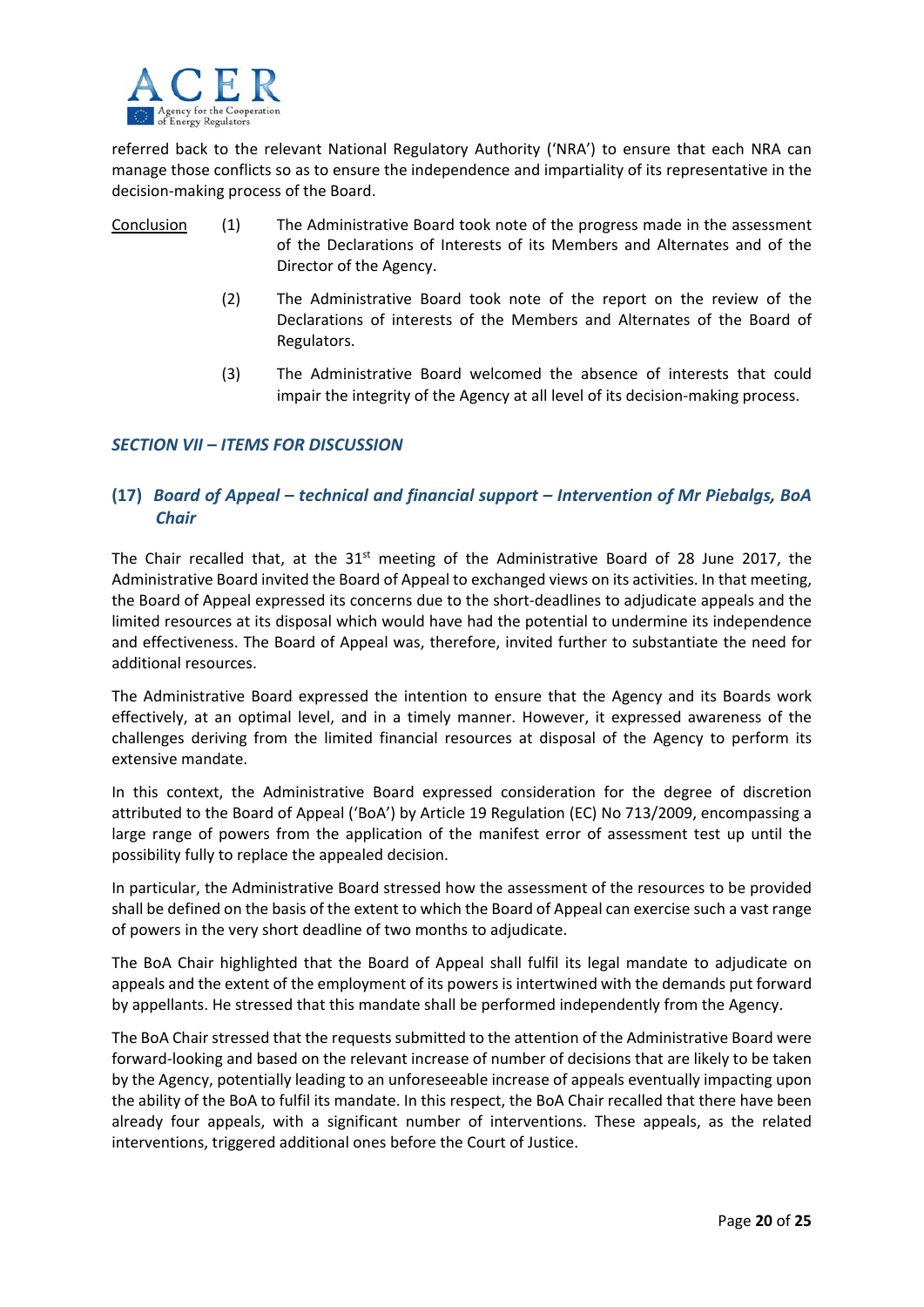

referred back to the relevant National Regulatory Authority ('NRA') to ensure that each NRA can manage those conflicts so as to ensure the independence and impartiality of its representative in the decision‐making process of the Board.

- Conclusion (1) The Administrative Board took note of the progress made in the assessment of the Declarations of Interests of its Members and Alternates and of the Director of the Agency.
	- (2) The Administrative Board took note of the report on the review of the Declarations of interests of the Members and Alternates of the Board of Regulators.
	- (3) The Administrative Board welcomed the absence of interests that could impair the integrity of the Agency at all level of its decision-making process.

## *SECTION VII – ITEMS FOR DISCUSSION*

# **(17)** *Board of Appeal – technical and financial support – Intervention of Mr Piebalgs, BoA Chair*

The Chair recalled that, at the  $31^{st}$  meeting of the Administrative Board of 28 June 2017, the Administrative Board invited the Board of Appeal to exchanged views on its activities. In that meeting, the Board of Appeal expressed its concerns due to the short-deadlines to adjudicate appeals and the limited resources at its disposal which would have had the potential to undermine its independence and effectiveness. The Board of Appeal was, therefore, invited further to substantiate the need for additional resources.

The Administrative Board expressed the intention to ensure that the Agency and its Boards work effectively, at an optimal level, and in a timely manner. However, it expressed awareness of the challenges deriving from the limited financial resources at disposal of the Agency to perform its extensive mandate.

In this context, the Administrative Board expressed consideration for the degree of discretion attributed to the Board of Appeal ('BoA') by Article 19 Regulation (EC) No 713/2009, encompassing a large range of powers from the application of the manifest error of assessment test up until the possibility fully to replace the appealed decision.

In particular, the Administrative Board stressed how the assessment of the resources to be provided shall be defined on the basis of the extent to which the Board of Appeal can exercise such a vast range of powers in the very short deadline of two months to adjudicate.

The BoA Chair highlighted that the Board of Appeal shall fulfil its legal mandate to adjudicate on appeals and the extent of the employment of its powers is intertwined with the demands put forward by appellants. He stressed that this mandate shall be performed independently from the Agency.

The BoA Chair stressed that the requests submitted to the attention of the Administrative Board were forward‐looking and based on the relevant increase of number of decisions that are likely to be taken by the Agency, potentially leading to an unforeseeable increase of appeals eventually impacting upon the ability of the BoA to fulfil its mandate. In this respect, the BoA Chair recalled that there have been already four appeals, with a significant number of interventions. These appeals, as the related interventions, triggered additional ones before the Court of Justice.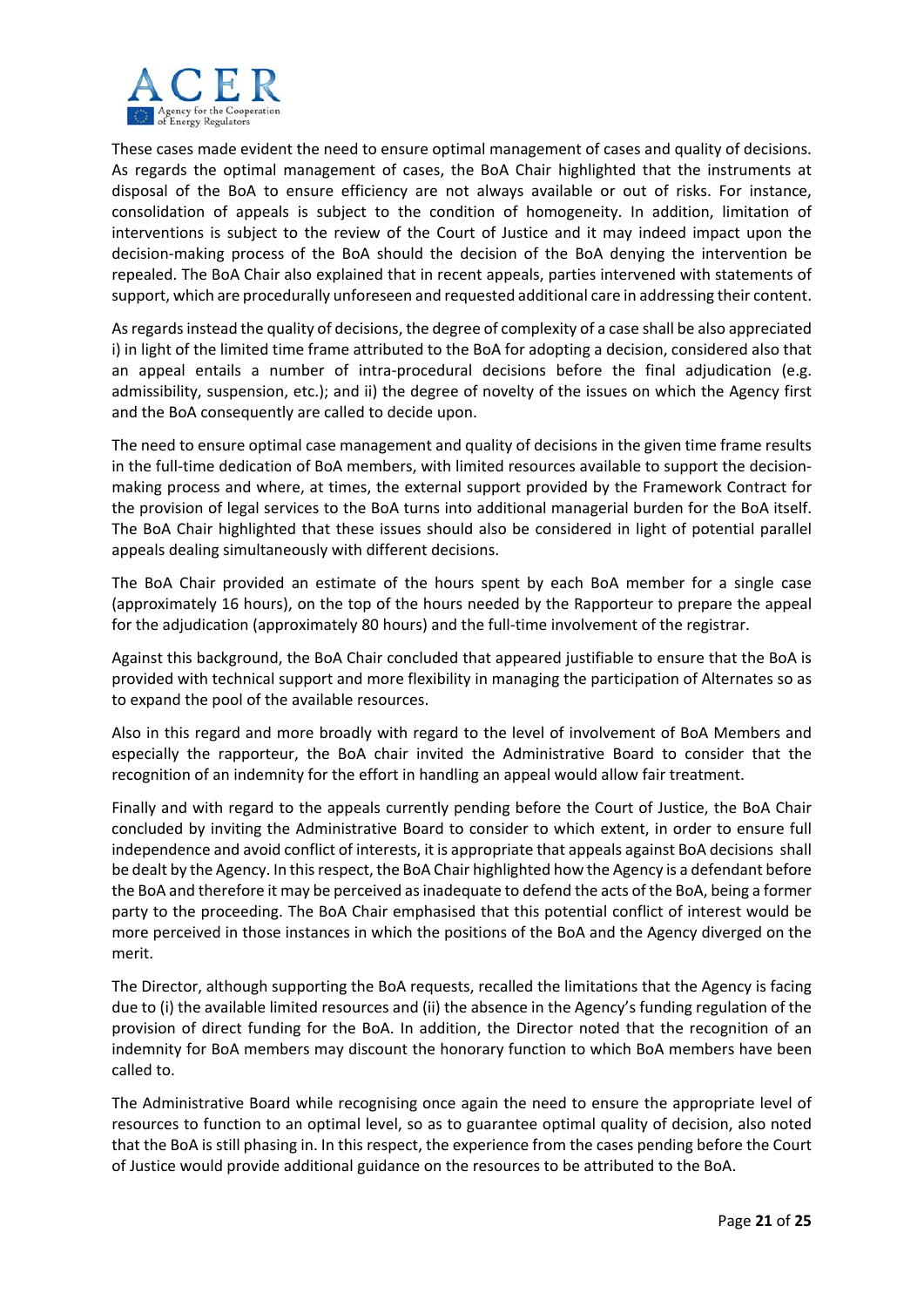

These cases made evident the need to ensure optimal management of cases and quality of decisions. As regards the optimal management of cases, the BoA Chair highlighted that the instruments at disposal of the BoA to ensure efficiency are not always available or out of risks. For instance, consolidation of appeals is subject to the condition of homogeneity. In addition, limitation of interventions is subject to the review of the Court of Justice and it may indeed impact upon the decision‐making process of the BoA should the decision of the BoA denying the intervention be repealed. The BoA Chair also explained that in recent appeals, parties intervened with statements of support, which are procedurally unforeseen and requested additional care in addressing their content.

As regards instead the quality of decisions, the degree of complexity of a case shall be also appreciated i) in light of the limited time frame attributed to the BoA for adopting a decision, considered also that an appeal entails a number of intra-procedural decisions before the final adjudication (e.g. admissibility, suspension, etc.); and ii) the degree of novelty of the issues on which the Agency first and the BoA consequently are called to decide upon.

The need to ensure optimal case management and quality of decisions in the given time frame results in the full-time dedication of BoA members, with limited resources available to support the decisionmaking process and where, at times, the external support provided by the Framework Contract for the provision of legal services to the BoA turns into additional managerial burden for the BoA itself. The BoA Chair highlighted that these issues should also be considered in light of potential parallel appeals dealing simultaneously with different decisions.

The BoA Chair provided an estimate of the hours spent by each BoA member for a single case (approximately 16 hours), on the top of the hours needed by the Rapporteur to prepare the appeal for the adjudication (approximately 80 hours) and the full-time involvement of the registrar.

Against this background, the BoA Chair concluded that appeared justifiable to ensure that the BoA is provided with technical support and more flexibility in managing the participation of Alternates so as to expand the pool of the available resources.

Also in this regard and more broadly with regard to the level of involvement of BoA Members and especially the rapporteur, the BoA chair invited the Administrative Board to consider that the recognition of an indemnity for the effort in handling an appeal would allow fair treatment.

Finally and with regard to the appeals currently pending before the Court of Justice, the BoA Chair concluded by inviting the Administrative Board to consider to which extent, in order to ensure full independence and avoid conflict of interests, it is appropriate that appeals against BoA decisions shall be dealt by the Agency. In thisrespect, the BoA Chair highlighted how the Agency is a defendant before the BoA and therefore it may be perceived as inadequate to defend the acts of the BoA, being a former party to the proceeding. The BoA Chair emphasised that this potential conflict of interest would be more perceived in those instances in which the positions of the BoA and the Agency diverged on the merit.

The Director, although supporting the BoA requests, recalled the limitations that the Agency is facing due to (i) the available limited resources and (ii) the absence in the Agency's funding regulation of the provision of direct funding for the BoA. In addition, the Director noted that the recognition of an indemnity for BoA members may discount the honorary function to which BoA members have been called to.

The Administrative Board while recognising once again the need to ensure the appropriate level of resources to function to an optimal level, so as to guarantee optimal quality of decision, also noted that the BoA is still phasing in. In this respect, the experience from the cases pending before the Court of Justice would provide additional guidance on the resources to be attributed to the BoA.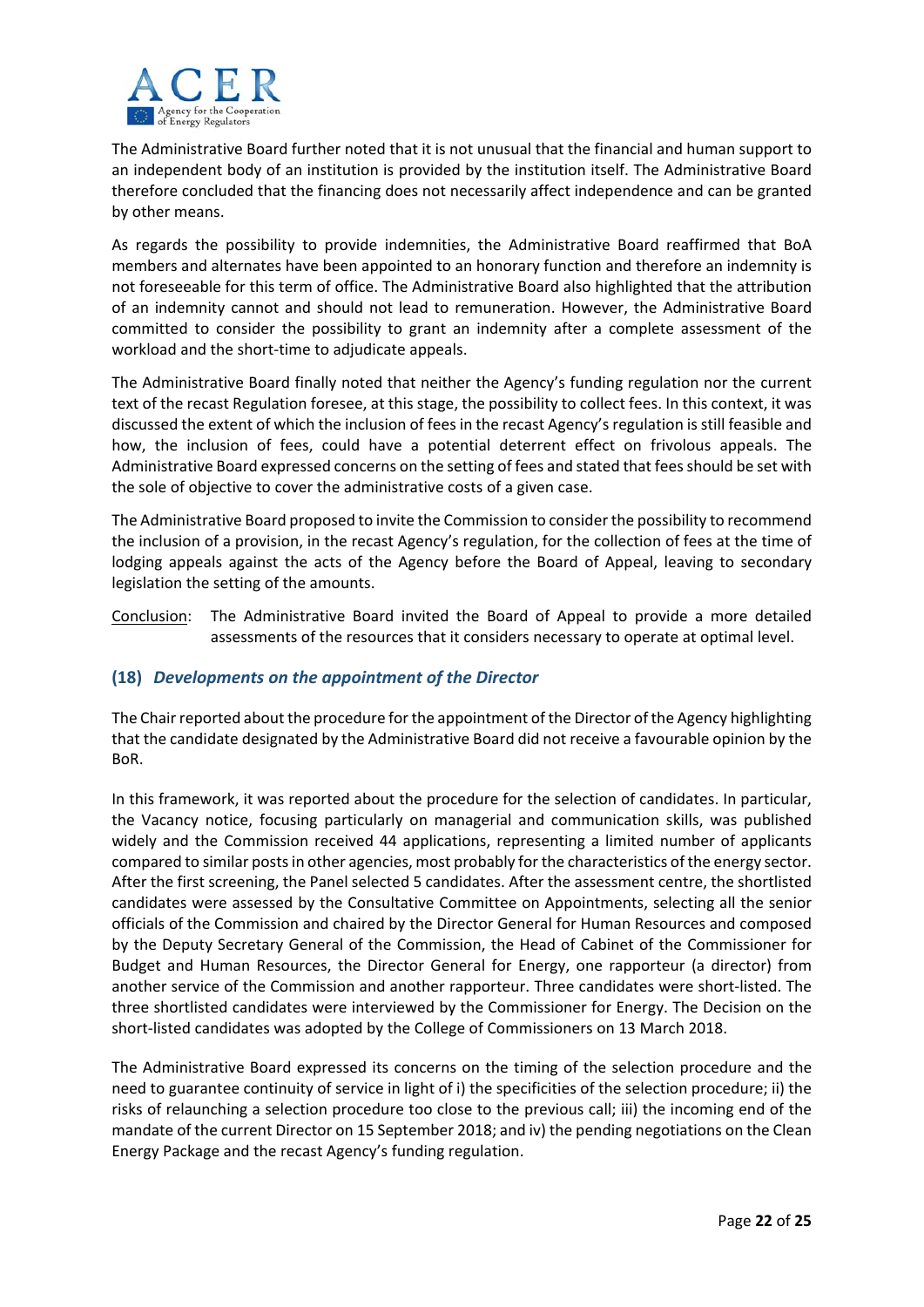

The Administrative Board further noted that it is not unusual that the financial and human support to an independent body of an institution is provided by the institution itself. The Administrative Board therefore concluded that the financing does not necessarily affect independence and can be granted by other means.

As regards the possibility to provide indemnities, the Administrative Board reaffirmed that BoA members and alternates have been appointed to an honorary function and therefore an indemnity is not foreseeable for this term of office. The Administrative Board also highlighted that the attribution of an indemnity cannot and should not lead to remuneration. However, the Administrative Board committed to consider the possibility to grant an indemnity after a complete assessment of the workload and the short-time to adjudicate appeals.

The Administrative Board finally noted that neither the Agency's funding regulation nor the current text of the recast Regulation foresee, at this stage, the possibility to collect fees. In this context, it was discussed the extent of which the inclusion of fees in the recast Agency's regulation is still feasible and how, the inclusion of fees, could have a potential deterrent effect on frivolous appeals. The Administrative Board expressed concerns on the setting of fees and stated that feesshould be set with the sole of objective to cover the administrative costs of a given case.

The Administrative Board proposed to invite the Commission to consider the possibility to recommend the inclusion of a provision, in the recast Agency's regulation, for the collection of fees at the time of lodging appeals against the acts of the Agency before the Board of Appeal, leaving to secondary legislation the setting of the amounts.

Conclusion: The Administrative Board invited the Board of Appeal to provide a more detailed assessments of the resources that it considers necessary to operate at optimal level.

# **(18)** *Developments on the appointment of the Director*

The Chair reported about the procedure for the appointment of the Director of the Agency highlighting that the candidate designated by the Administrative Board did not receive a favourable opinion by the BoR.

In this framework, it was reported about the procedure for the selection of candidates. In particular, the Vacancy notice, focusing particularly on managerial and communication skills, was published widely and the Commission received 44 applications, representing a limited number of applicants compared to similar postsin other agencies, most probably for the characteristics of the energy sector. After the first screening, the Panel selected 5 candidates. After the assessment centre, the shortlisted candidates were assessed by the Consultative Committee on Appointments, selecting all the senior officials of the Commission and chaired by the Director General for Human Resources and composed by the Deputy Secretary General of the Commission, the Head of Cabinet of the Commissioner for Budget and Human Resources, the Director General for Energy, one rapporteur (a director) from another service of the Commission and another rapporteur. Three candidates were short‐listed. The three shortlisted candidates were interviewed by the Commissioner for Energy. The Decision on the short‐listed candidates was adopted by the College of Commissioners on 13 March 2018.

The Administrative Board expressed its concerns on the timing of the selection procedure and the need to guarantee continuity of service in light of i) the specificities of the selection procedure; ii) the risks of relaunching a selection procedure too close to the previous call; iii) the incoming end of the mandate of the current Director on 15 September 2018; and iv) the pending negotiations on the Clean Energy Package and the recast Agency's funding regulation.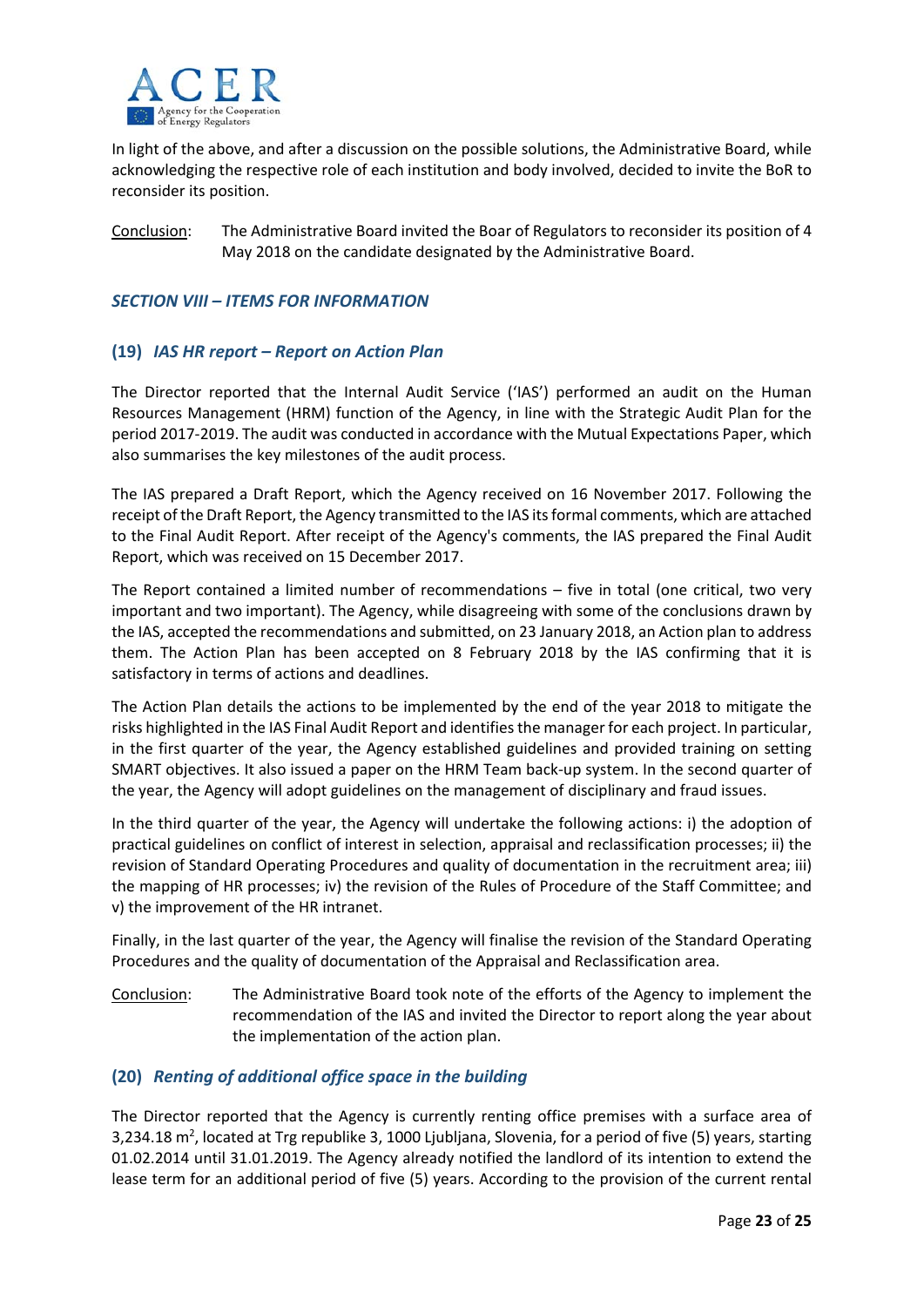

In light of the above, and after a discussion on the possible solutions, the Administrative Board, while acknowledging the respective role of each institution and body involved, decided to invite the BoR to reconsider its position.

Conclusion: The Administrative Board invited the Boar of Regulators to reconsider its position of 4 May 2018 on the candidate designated by the Administrative Board.

#### *SECTION VIII – ITEMS FOR INFORMATION*

## **(19)** *IAS HR report – Report on Action Plan*

The Director reported that the Internal Audit Service ('IAS') performed an audit on the Human Resources Management (HRM) function of the Agency, in line with the Strategic Audit Plan for the period 2017‐2019. The audit was conducted in accordance with the Mutual Expectations Paper, which also summarises the key milestones of the audit process.

The IAS prepared a Draft Report, which the Agency received on 16 November 2017. Following the receipt of the Draft Report, the Agency transmitted to the IAS itsformal comments, which are attached to the Final Audit Report. After receipt of the Agency's comments, the IAS prepared the Final Audit Report, which was received on 15 December 2017.

The Report contained a limited number of recommendations – five in total (one critical, two very important and two important). The Agency, while disagreeing with some of the conclusions drawn by the IAS, accepted the recommendations and submitted, on 23 January 2018, an Action plan to address them. The Action Plan has been accepted on 8 February 2018 by the IAS confirming that it is satisfactory in terms of actions and deadlines.

The Action Plan details the actions to be implemented by the end of the year 2018 to mitigate the risks highlighted in the IAS Final Audit Report and identifiesthe manager for each project. In particular, in the first quarter of the year, the Agency established guidelines and provided training on setting SMART objectives. It also issued a paper on the HRM Team back‐up system. In the second quarter of the year, the Agency will adopt guidelines on the management of disciplinary and fraud issues.

In the third quarter of the year, the Agency will undertake the following actions: i) the adoption of practical guidelines on conflict of interest in selection, appraisal and reclassification processes; ii) the revision of Standard Operating Procedures and quality of documentation in the recruitment area; iii) the mapping of HR processes; iv) the revision of the Rules of Procedure of the Staff Committee; and v) the improvement of the HR intranet.

Finally, in the last quarter of the year, the Agency will finalise the revision of the Standard Operating Procedures and the quality of documentation of the Appraisal and Reclassification area.

Conclusion: The Administrative Board took note of the efforts of the Agency to implement the recommendation of the IAS and invited the Director to report along the year about the implementation of the action plan.

# **(20)** *Renting of additional office space in the building*

The Director reported that the Agency is currently renting office premises with a surface area of 3,234.18 m<sup>2</sup>, located at Trg republike 3, 1000 Ljubljana, Slovenia, for a period of five (5) years, starting 01.02.2014 until 31.01.2019. The Agency already notified the landlord of its intention to extend the lease term for an additional period of five (5) years. According to the provision of the current rental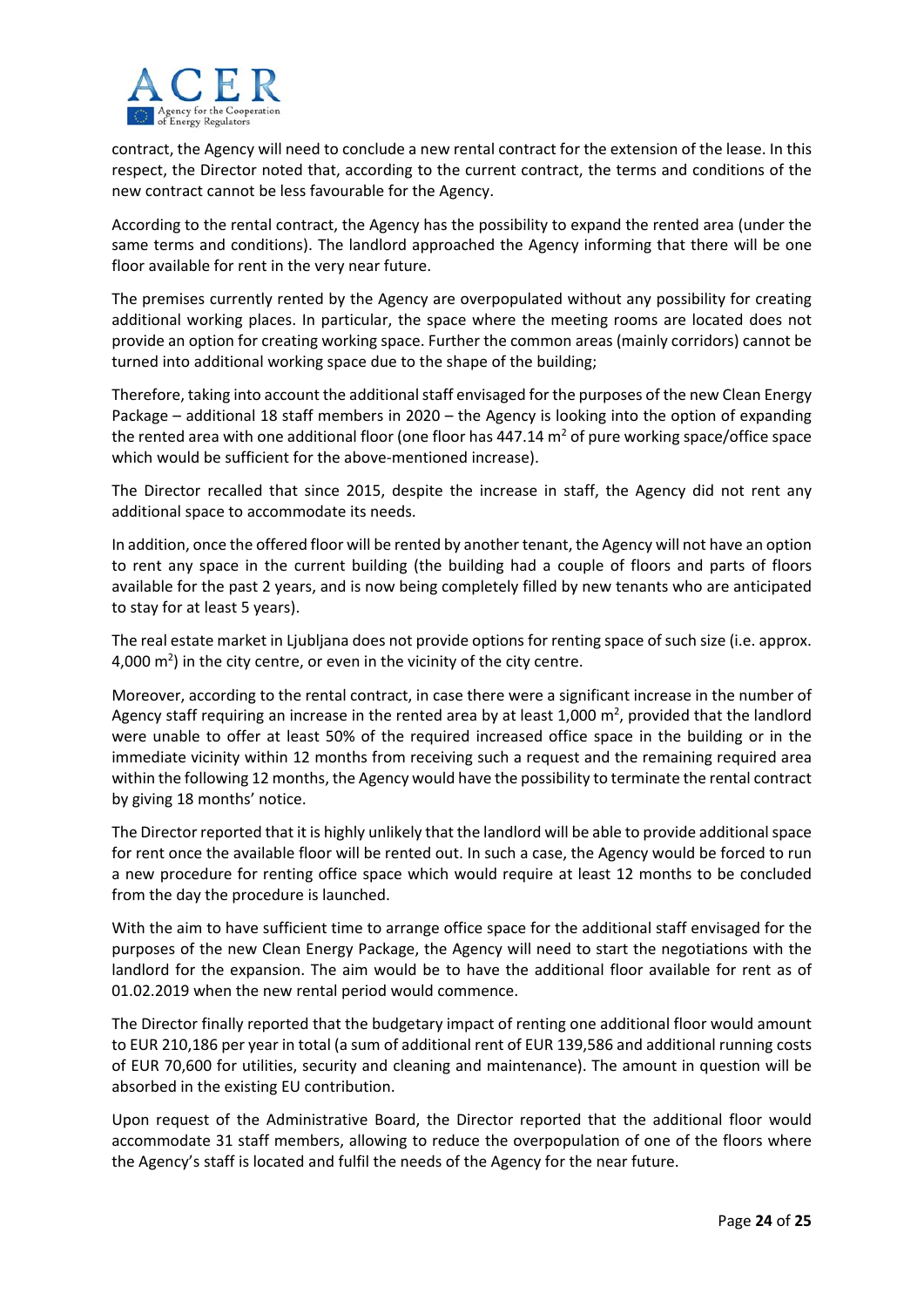

contract, the Agency will need to conclude a new rental contract for the extension of the lease. In this respect, the Director noted that, according to the current contract, the terms and conditions of the new contract cannot be less favourable for the Agency.

According to the rental contract, the Agency has the possibility to expand the rented area (under the same terms and conditions). The landlord approached the Agency informing that there will be one floor available for rent in the very near future.

The premises currently rented by the Agency are overpopulated without any possibility for creating additional working places. In particular, the space where the meeting rooms are located does not provide an option for creating working space. Further the common areas (mainly corridors) cannot be turned into additional working space due to the shape of the building;

Therefore, taking into account the additional staff envisaged for the purposes of the new Clean Energy Package – additional 18 staff members in 2020 – the Agency is looking into the option of expanding the rented area with one additional floor (one floor has  $447.14$  m<sup>2</sup> of pure working space/office space which would be sufficient for the above-mentioned increase).

The Director recalled that since 2015, despite the increase in staff, the Agency did not rent any additional space to accommodate its needs.

In addition, once the offered floor will be rented by another tenant, the Agency will not have an option to rent any space in the current building (the building had a couple of floors and parts of floors available for the past 2 years, and is now being completely filled by new tenants who are anticipated to stay for at least 5 years).

The real estate market in Ljubljana does not provide options for renting space of such size (i.e. approx. 4,000  $\text{m}^2$ ) in the city centre, or even in the vicinity of the city centre.

Moreover, according to the rental contract, in case there were a significant increase in the number of Agency staff requiring an increase in the rented area by at least 1,000  $\text{m}^2$ , provided that the landlord were unable to offer at least 50% of the required increased office space in the building or in the immediate vicinity within 12 months from receiving such a request and the remaining required area within the following 12 months, the Agency would have the possibility to terminate the rental contract by giving 18 months' notice.

The Director reported that it is highly unlikely that the landlord will be able to provide additionalspace for rent once the available floor will be rented out. In such a case, the Agency would be forced to run a new procedure for renting office space which would require at least 12 months to be concluded from the day the procedure is launched.

With the aim to have sufficient time to arrange office space for the additional staff envisaged for the purposes of the new Clean Energy Package, the Agency will need to start the negotiations with the landlord for the expansion. The aim would be to have the additional floor available for rent as of 01.02.2019 when the new rental period would commence.

The Director finally reported that the budgetary impact of renting one additional floor would amount to EUR 210,186 per year in total (a sum of additional rent of EUR 139,586 and additional running costs of EUR 70,600 for utilities, security and cleaning and maintenance). The amount in question will be absorbed in the existing EU contribution.

Upon request of the Administrative Board, the Director reported that the additional floor would accommodate 31 staff members, allowing to reduce the overpopulation of one of the floors where the Agency's staff is located and fulfil the needs of the Agency for the near future.